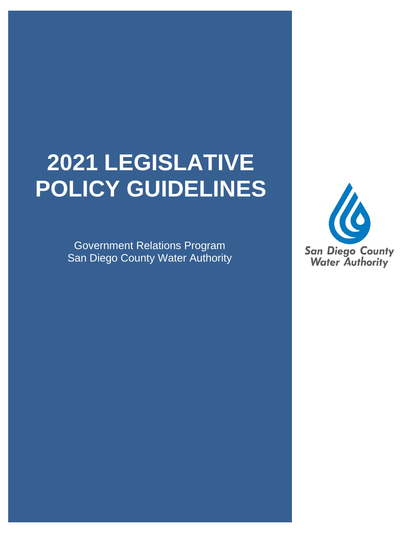# **2021 LEGISLATIVE POLICY GUIDELINES**

Government Relations Program San Diego County Water Authority

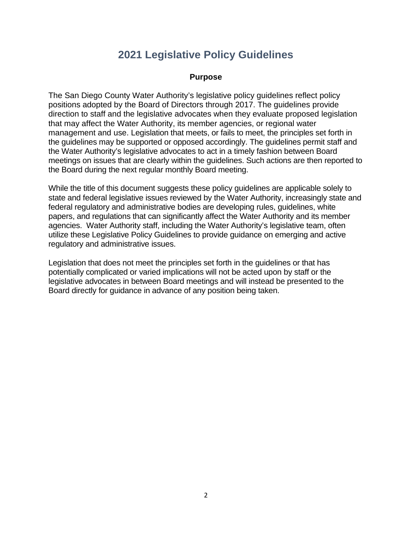## **2021 Legislative Policy Guidelines**

## **Purpose**

The San Diego County Water Authority's legislative policy guidelines reflect policy positions adopted by the Board of Directors through 2017. The guidelines provide direction to staff and the legislative advocates when they evaluate proposed legislation that may affect the Water Authority, its member agencies, or regional water management and use. Legislation that meets, or fails to meet, the principles set forth in the guidelines may be supported or opposed accordingly. The guidelines permit staff and the Water Authority's legislative advocates to act in a timely fashion between Board meetings on issues that are clearly within the guidelines. Such actions are then reported to the Board during the next regular monthly Board meeting.

While the title of this document suggests these policy guidelines are applicable solely to state and federal legislative issues reviewed by the Water Authority, increasingly state and federal regulatory and administrative bodies are developing rules, guidelines, white papers, and regulations that can significantly affect the Water Authority and its member agencies. Water Authority staff, including the Water Authority's legislative team, often utilize these Legislative Policy Guidelines to provide guidance on emerging and active regulatory and administrative issues.

Legislation that does not meet the principles set forth in the guidelines or that has potentially complicated or varied implications will not be acted upon by staff or the legislative advocates in between Board meetings and will instead be presented to the Board directly for guidance in advance of any position being taken.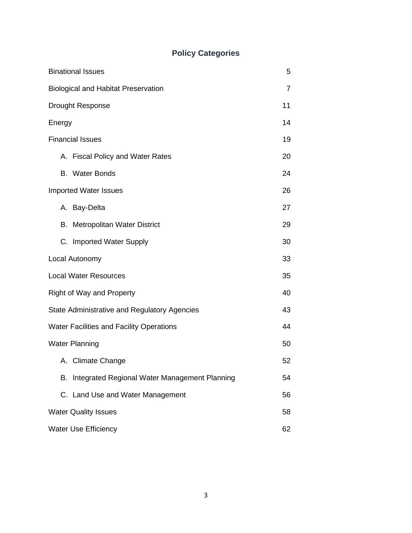## **Policy Categories**

| <b>Binational Issues</b>                         | 5  |
|--------------------------------------------------|----|
| <b>Biological and Habitat Preservation</b>       | 7  |
| <b>Drought Response</b>                          | 11 |
| Energy                                           | 14 |
| <b>Financial Issues</b>                          | 19 |
| A. Fiscal Policy and Water Rates                 | 20 |
| <b>Water Bonds</b><br>B.                         | 24 |
| <b>Imported Water Issues</b>                     | 26 |
| A. Bay-Delta                                     | 27 |
| <b>Metropolitan Water District</b><br>В.         | 29 |
| C. Imported Water Supply                         | 30 |
| Local Autonomy                                   | 33 |
| <b>Local Water Resources</b>                     | 35 |
| <b>Right of Way and Property</b>                 | 40 |
| State Administrative and Regulatory Agencies     | 43 |
| <b>Water Facilities and Facility Operations</b>  | 44 |
| <b>Water Planning</b>                            | 50 |
| A. Climate Change                                | 52 |
| B. Integrated Regional Water Management Planning | 54 |
| C. Land Use and Water Management                 | 56 |
| <b>Water Quality Issues</b>                      | 58 |
| <b>Water Use Efficiency</b>                      | 62 |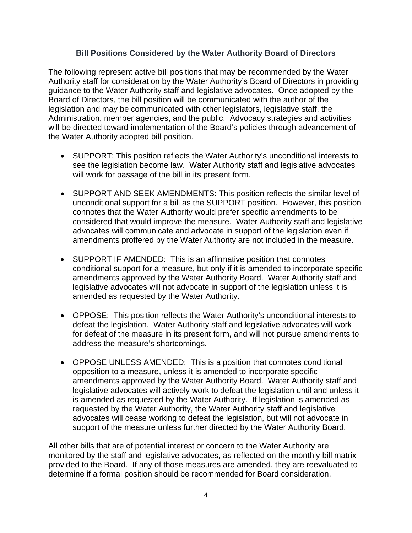## **Bill Positions Considered by the Water Authority Board of Directors**

The following represent active bill positions that may be recommended by the Water Authority staff for consideration by the Water Authority's Board of Directors in providing guidance to the Water Authority staff and legislative advocates. Once adopted by the Board of Directors, the bill position will be communicated with the author of the legislation and may be communicated with other legislators, legislative staff, the Administration, member agencies, and the public. Advocacy strategies and activities will be directed toward implementation of the Board's policies through advancement of the Water Authority adopted bill position.

- SUPPORT: This position reflects the Water Authority's unconditional interests to see the legislation become law. Water Authority staff and legislative advocates will work for passage of the bill in its present form.
- SUPPORT AND SEEK AMENDMENTS: This position reflects the similar level of unconditional support for a bill as the SUPPORT position. However, this position connotes that the Water Authority would prefer specific amendments to be considered that would improve the measure. Water Authority staff and legislative advocates will communicate and advocate in support of the legislation even if amendments proffered by the Water Authority are not included in the measure.
- SUPPORT IF AMENDED: This is an affirmative position that connotes conditional support for a measure, but only if it is amended to incorporate specific amendments approved by the Water Authority Board. Water Authority staff and legislative advocates will not advocate in support of the legislation unless it is amended as requested by the Water Authority.
- OPPOSE: This position reflects the Water Authority's unconditional interests to defeat the legislation. Water Authority staff and legislative advocates will work for defeat of the measure in its present form, and will not pursue amendments to address the measure's shortcomings.
- OPPOSE UNLESS AMENDED: This is a position that connotes conditional opposition to a measure, unless it is amended to incorporate specific amendments approved by the Water Authority Board. Water Authority staff and legislative advocates will actively work to defeat the legislation until and unless it is amended as requested by the Water Authority. If legislation is amended as requested by the Water Authority, the Water Authority staff and legislative advocates will cease working to defeat the legislation, but will not advocate in support of the measure unless further directed by the Water Authority Board.

All other bills that are of potential interest or concern to the Water Authority are monitored by the staff and legislative advocates, as reflected on the monthly bill matrix provided to the Board. If any of those measures are amended, they are reevaluated to determine if a formal position should be recommended for Board consideration.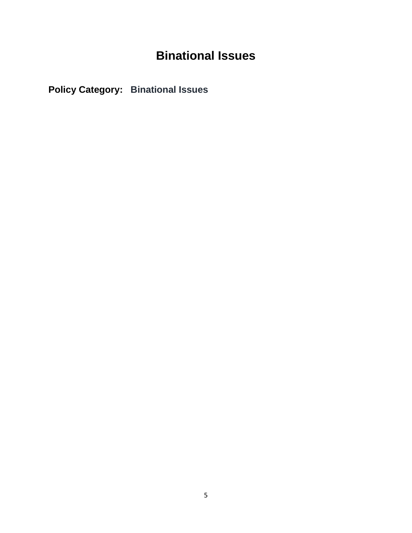## **Binational Issues**

**Policy Category: Binational Issues**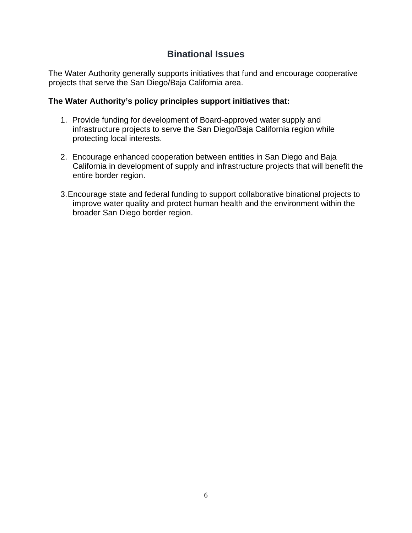## **Binational Issues**

The Water Authority generally supports initiatives that fund and encourage cooperative projects that serve the San Diego/Baja California area.

- 1. Provide funding for development of Board-approved water supply and infrastructure projects to serve the San Diego/Baja California region while protecting local interests.
- 2. Encourage enhanced cooperation between entities in San Diego and Baja California in development of supply and infrastructure projects that will benefit the entire border region.
- 3.Encourage state and federal funding to support collaborative binational projects to improve water quality and protect human health and the environment within the broader San Diego border region.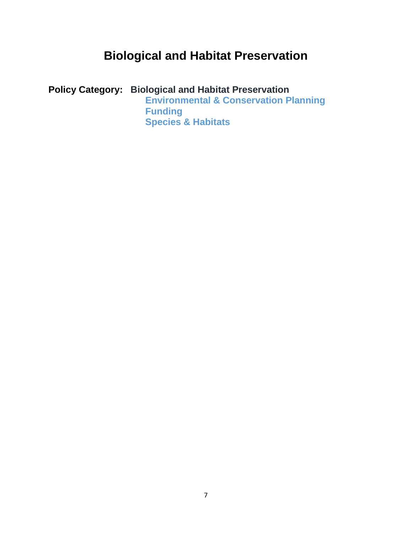## **Biological and Habitat Preservation**

**Policy Category: Biological and Habitat Preservation Environmental & Conservation Planning Funding Species & Habitats**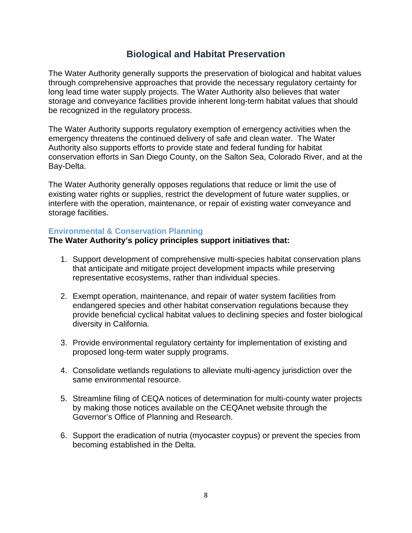## **Biological and Habitat Preservation**

The Water Authority generally supports the preservation of biological and habitat values through comprehensive approaches that provide the necessary regulatory certainty for long lead time water supply projects. The Water Authority also believes that water storage and conveyance facilities provide inherent long-term habitat values that should be recognized in the regulatory process.

The Water Authority supports regulatory exemption of emergency activities when the emergency threatens the continued delivery of safe and clean water. The Water Authority also supports efforts to provide state and federal funding for habitat conservation efforts in San Diego County, on the Salton Sea, Colorado River, and at the Bay-Delta.

The Water Authority generally opposes regulations that reduce or limit the use of existing water rights or supplies, restrict the development of future water supplies, or interfere with the operation, maintenance, or repair of existing water conveyance and storage facilities.

## **Environmental & Conservation Planning**

- 1. Support development of comprehensive multi-species habitat conservation plans that anticipate and mitigate project development impacts while preserving representative ecosystems, rather than individual species.
- 2. Exempt operation, maintenance, and repair of water system facilities from endangered species and other habitat conservation regulations because they provide beneficial cyclical habitat values to declining species and foster biological diversity in California.
- 3. Provide environmental regulatory certainty for implementation of existing and proposed long-term water supply programs.
- 4. Consolidate wetlands regulations to alleviate multi-agency jurisdiction over the same environmental resource.
- 5. Streamline filing of CEQA notices of determination for multi-county water projects by making those notices available on the CEQAnet website through the Governor's Office of Planning and Research.
- 6. Support the eradication of nutria (myocaster coypus) or prevent the species from becoming established in the Delta.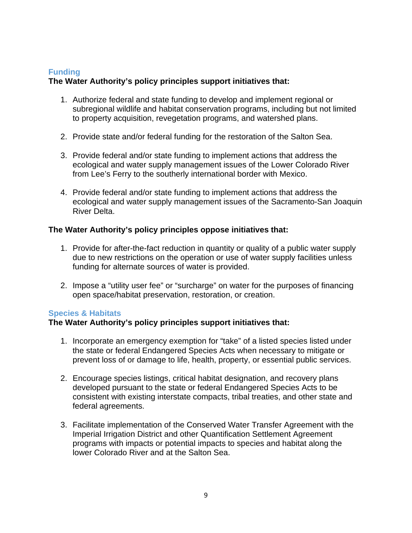## **Funding**

## **The Water Authority's policy principles support initiatives that:**

- 1. Authorize federal and state funding to develop and implement regional or subregional wildlife and habitat conservation programs, including but not limited to property acquisition, revegetation programs, and watershed plans.
- 2. Provide state and/or federal funding for the restoration of the Salton Sea.
- 3. Provide federal and/or state funding to implement actions that address the ecological and water supply management issues of the Lower Colorado River from Lee's Ferry to the southerly international border with Mexico.
- 4. Provide federal and/or state funding to implement actions that address the ecological and water supply management issues of the Sacramento-San Joaquin River Delta.

## **The Water Authority's policy principles oppose initiatives that:**

- 1. Provide for after-the-fact reduction in quantity or quality of a public water supply due to new restrictions on the operation or use of water supply facilities unless funding for alternate sources of water is provided.
- 2. Impose a "utility user fee" or "surcharge" on water for the purposes of financing open space/habitat preservation, restoration, or creation.

## **Species & Habitats**

- 1. Incorporate an emergency exemption for "take" of a listed species listed under the state or federal Endangered Species Acts when necessary to mitigate or prevent loss of or damage to life, health, property, or essential public services.
- 2. Encourage species listings, critical habitat designation, and recovery plans developed pursuant to the state or federal Endangered Species Acts to be consistent with existing interstate compacts, tribal treaties, and other state and federal agreements.
- 3. Facilitate implementation of the Conserved Water Transfer Agreement with the Imperial Irrigation District and other Quantification Settlement Agreement programs with impacts or potential impacts to species and habitat along the lower Colorado River and at the Salton Sea.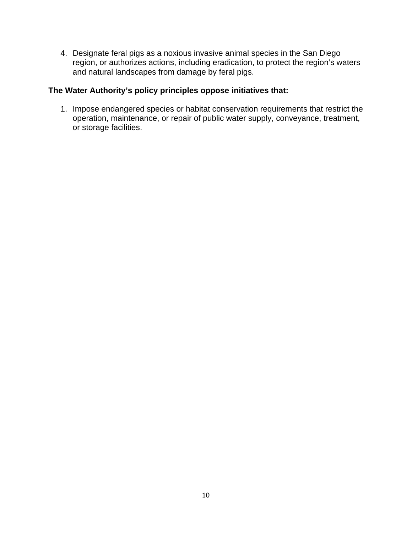4. Designate feral pigs as a noxious invasive animal species in the San Diego region, or authorizes actions, including eradication, to protect the region's waters and natural landscapes from damage by feral pigs.

## **The Water Authority's policy principles oppose initiatives that:**

1. Impose endangered species or habitat conservation requirements that restrict the operation, maintenance, or repair of public water supply, conveyance, treatment, or storage facilities.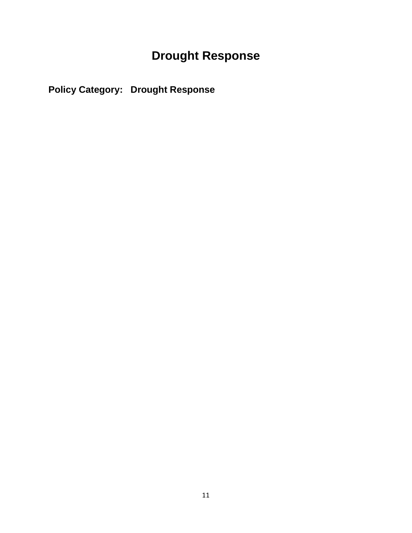## **Drought Response**

**Policy Category: Drought Response**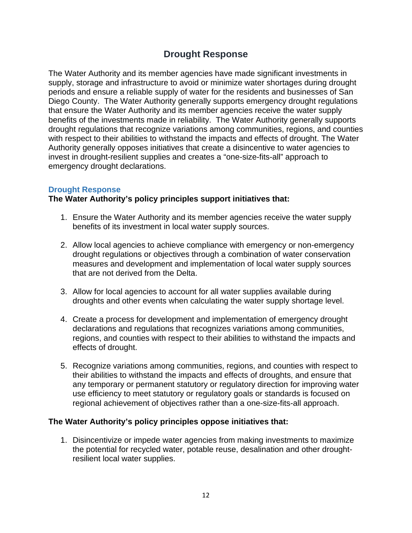## **Drought Response**

The Water Authority and its member agencies have made significant investments in supply, storage and infrastructure to avoid or minimize water shortages during drought periods and ensure a reliable supply of water for the residents and businesses of San Diego County. The Water Authority generally supports emergency drought regulations that ensure the Water Authority and its member agencies receive the water supply benefits of the investments made in reliability. The Water Authority generally supports drought regulations that recognize variations among communities, regions, and counties with respect to their abilities to withstand the impacts and effects of drought. The Water Authority generally opposes initiatives that create a disincentive to water agencies to invest in drought-resilient supplies and creates a "one-size-fits-all" approach to emergency drought declarations.

## **Drought Response**

## **The Water Authority's policy principles support initiatives that:**

- 1. Ensure the Water Authority and its member agencies receive the water supply benefits of its investment in local water supply sources.
- 2. Allow local agencies to achieve compliance with emergency or non-emergency drought regulations or objectives through a combination of water conservation measures and development and implementation of local water supply sources that are not derived from the Delta.
- 3. Allow for local agencies to account for all water supplies available during droughts and other events when calculating the water supply shortage level.
- 4. Create a process for development and implementation of emergency drought declarations and regulations that recognizes variations among communities, regions, and counties with respect to their abilities to withstand the impacts and effects of drought.
- 5. Recognize variations among communities, regions, and counties with respect to their abilities to withstand the impacts and effects of droughts, and ensure that any temporary or permanent statutory or regulatory direction for improving water use efficiency to meet statutory or regulatory goals or standards is focused on regional achievement of objectives rather than a one-size-fits-all approach.

## **The Water Authority's policy principles oppose initiatives that:**

1. Disincentivize or impede water agencies from making investments to maximize the potential for recycled water, potable reuse, desalination and other droughtresilient local water supplies.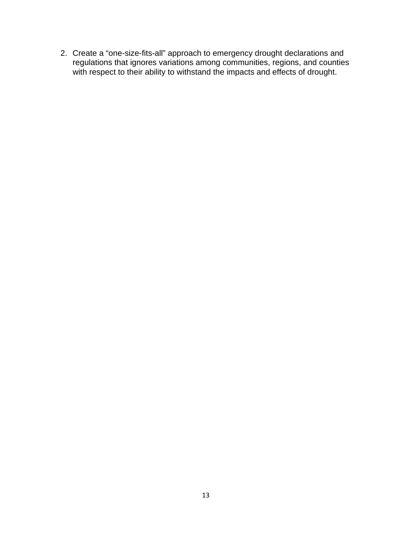2. Create a "one-size-fits-all" approach to emergency drought declarations and regulations that ignores variations among communities, regions, and counties with respect to their ability to withstand the impacts and effects of drought.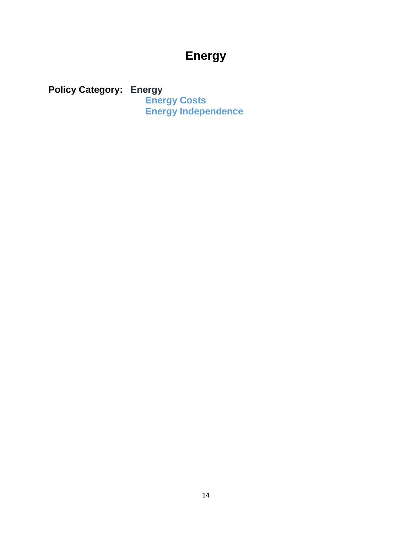## **Energy**

**Policy Category: Energy Energy Costs Energy Independence**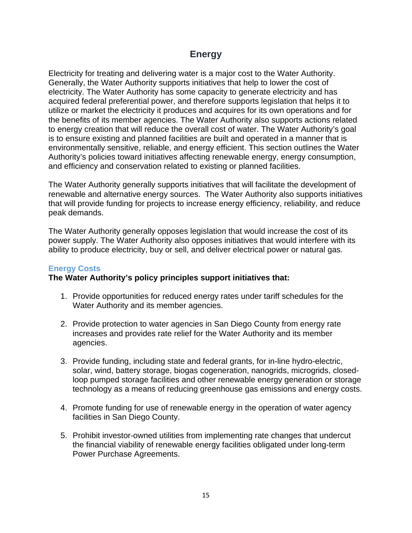## **Energy**

Electricity for treating and delivering water is a major cost to the Water Authority. Generally, the Water Authority supports initiatives that help to lower the cost of electricity. The Water Authority has some capacity to generate electricity and has acquired federal preferential power, and therefore supports legislation that helps it to utilize or market the electricity it produces and acquires for its own operations and for the benefits of its member agencies. The Water Authority also supports actions related to energy creation that will reduce the overall cost of water. The Water Authority's goal is to ensure existing and planned facilities are built and operated in a manner that is environmentally sensitive, reliable, and energy efficient. This section outlines the Water Authority's policies toward initiatives affecting renewable energy, energy consumption, and efficiency and conservation related to existing or planned facilities.

The Water Authority generally supports initiatives that will facilitate the development of renewable and alternative energy sources. The Water Authority also supports initiatives that will provide funding for projects to increase energy efficiency, reliability, and reduce peak demands.

The Water Authority generally opposes legislation that would increase the cost of its power supply. The Water Authority also opposes initiatives that would interfere with its ability to produce electricity, buy or sell, and deliver electrical power or natural gas.

## **Energy Costs**

- 1. Provide opportunities for reduced energy rates under tariff schedules for the Water Authority and its member agencies.
- 2. Provide protection to water agencies in San Diego County from energy rate increases and provides rate relief for the Water Authority and its member agencies.
- 3. Provide funding, including state and federal grants, for in-line hydro-electric, solar, wind, battery storage, biogas cogeneration, nanogrids, microgrids, closedloop pumped storage facilities and other renewable energy generation or storage technology as a means of reducing greenhouse gas emissions and energy costs.
- 4. Promote funding for use of renewable energy in the operation of water agency facilities in San Diego County.
- 5. Prohibit investor-owned utilities from implementing rate changes that undercut the financial viability of renewable energy facilities obligated under long-term Power Purchase Agreements.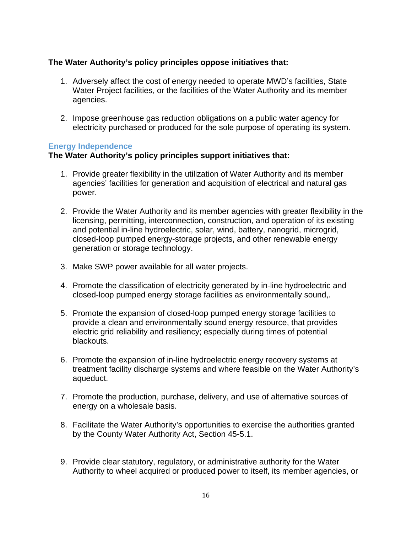## **The Water Authority's policy principles oppose initiatives that:**

- 1. Adversely affect the cost of energy needed to operate MWD's facilities, State Water Project facilities, or the facilities of the Water Authority and its member agencies.
- 2. Impose greenhouse gas reduction obligations on a public water agency for electricity purchased or produced for the sole purpose of operating its system.

## **Energy Independence**

- 1. Provide greater flexibility in the utilization of Water Authority and its member agencies' facilities for generation and acquisition of electrical and natural gas power.
- 2. Provide the Water Authority and its member agencies with greater flexibility in the licensing, permitting, interconnection, construction, and operation of its existing and potential in-line hydroelectric, solar, wind, battery, nanogrid, microgrid, closed-loop pumped energy-storage projects, and other renewable energy generation or storage technology.
- 3. Make SWP power available for all water projects.
- 4. Promote the classification of electricity generated by in-line hydroelectric and closed-loop pumped energy storage facilities as environmentally sound,.
- 5. Promote the expansion of closed-loop pumped energy storage facilities to provide a clean and environmentally sound energy resource, that provides electric grid reliability and resiliency; especially during times of potential blackouts.
- 6. Promote the expansion of in-line hydroelectric energy recovery systems at treatment facility discharge systems and where feasible on the Water Authority's aqueduct.
- 7. Promote the production, purchase, delivery, and use of alternative sources of energy on a wholesale basis.
- 8. Facilitate the Water Authority's opportunities to exercise the authorities granted by the County Water Authority Act, Section 45-5.1.
- 9. Provide clear statutory, regulatory, or administrative authority for the Water Authority to wheel acquired or produced power to itself, its member agencies, or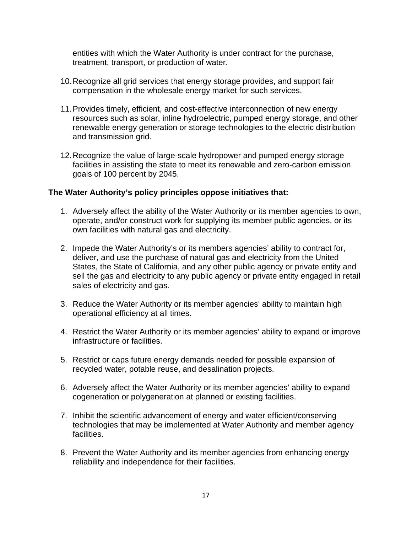entities with which the Water Authority is under contract for the purchase, treatment, transport, or production of water.

- 10.Recognize all grid services that energy storage provides, and support fair compensation in the wholesale energy market for such services.
- 11.Provides timely, efficient, and cost-effective interconnection of new energy resources such as solar, inline hydroelectric, pumped energy storage, and other renewable energy generation or storage technologies to the electric distribution and transmission grid.
- 12.Recognize the value of large-scale hydropower and pumped energy storage facilities in assisting the state to meet its renewable and zero-carbon emission goals of 100 percent by 2045.

- 1. Adversely affect the ability of the Water Authority or its member agencies to own, operate, and/or construct work for supplying its member public agencies, or its own facilities with natural gas and electricity.
- 2. Impede the Water Authority's or its members agencies' ability to contract for, deliver, and use the purchase of natural gas and electricity from the United States, the State of California, and any other public agency or private entity and sell the gas and electricity to any public agency or private entity engaged in retail sales of electricity and gas.
- 3. Reduce the Water Authority or its member agencies' ability to maintain high operational efficiency at all times.
- 4. Restrict the Water Authority or its member agencies' ability to expand or improve infrastructure or facilities.
- 5. Restrict or caps future energy demands needed for possible expansion of recycled water, potable reuse, and desalination projects.
- 6. Adversely affect the Water Authority or its member agencies' ability to expand cogeneration or polygeneration at planned or existing facilities.
- 7. Inhibit the scientific advancement of energy and water efficient/conserving technologies that may be implemented at Water Authority and member agency facilities.
- 8. Prevent the Water Authority and its member agencies from enhancing energy reliability and independence for their facilities.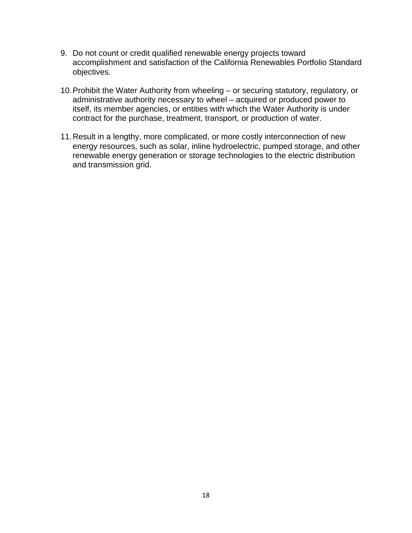- 9. Do not count or credit qualified renewable energy projects toward accomplishment and satisfaction of the California Renewables Portfolio Standard objectives.
- 10.Prohibit the Water Authority from wheeling or securing statutory, regulatory, or administrative authority necessary to wheel – acquired or produced power to itself, its member agencies, or entities with which the Water Authority is under contract for the purchase, treatment, transport, or production of water.
- 11.Result in a lengthy, more complicated, or more costly interconnection of new energy resources, such as solar, inline hydroelectric, pumped storage, and other renewable energy generation or storage technologies to the electric distribution and transmission grid.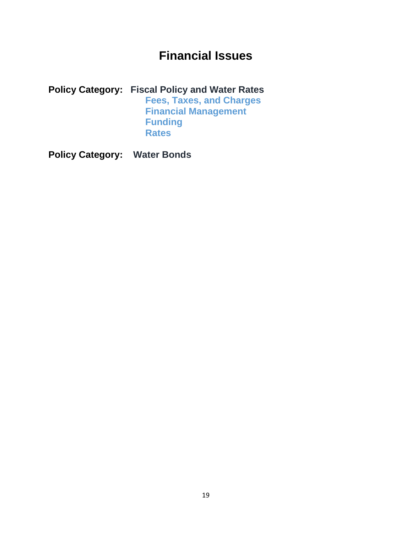## **Financial Issues**

**Policy Category: Fiscal Policy and Water Rates Fees, Taxes, and Charges Financial Management Funding Rates**

**Policy Category: Water Bonds**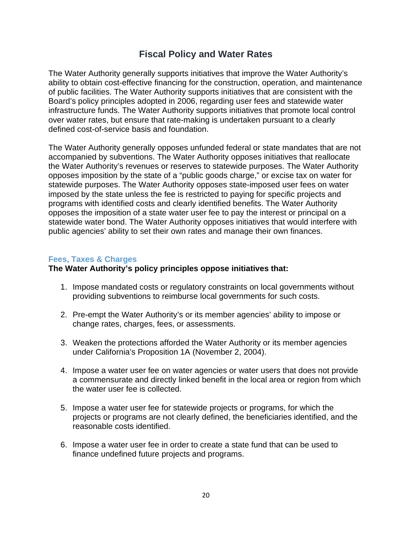## **Fiscal Policy and Water Rates**

The Water Authority generally supports initiatives that improve the Water Authority's ability to obtain cost-effective financing for the construction, operation, and maintenance of public facilities. The Water Authority supports initiatives that are consistent with the Board's policy principles adopted in 2006, regarding user fees and statewide water infrastructure funds. The Water Authority supports initiatives that promote local control over water rates, but ensure that rate-making is undertaken pursuant to a clearly defined cost-of-service basis and foundation.

The Water Authority generally opposes unfunded federal or state mandates that are not accompanied by subventions. The Water Authority opposes initiatives that reallocate the Water Authority's revenues or reserves to statewide purposes. The Water Authority opposes imposition by the state of a "public goods charge," or excise tax on water for statewide purposes. The Water Authority opposes state-imposed user fees on water imposed by the state unless the fee is restricted to paying for specific projects and programs with identified costs and clearly identified benefits. The Water Authority opposes the imposition of a state water user fee to pay the interest or principal on a statewide water bond. The Water Authority opposes initiatives that would interfere with public agencies' ability to set their own rates and manage their own finances.

#### **Fees, Taxes & Charges**

- 1. Impose mandated costs or regulatory constraints on local governments without providing subventions to reimburse local governments for such costs.
- 2. Pre-empt the Water Authority's or its member agencies' ability to impose or change rates, charges, fees, or assessments.
- 3. Weaken the protections afforded the Water Authority or its member agencies under California's Proposition 1A (November 2, 2004).
- 4. Impose a water user fee on water agencies or water users that does not provide a commensurate and directly linked benefit in the local area or region from which the water user fee is collected.
- 5. Impose a water user fee for statewide projects or programs, for which the projects or programs are not clearly defined, the beneficiaries identified, and the reasonable costs identified.
- 6. Impose a water user fee in order to create a state fund that can be used to finance undefined future projects and programs.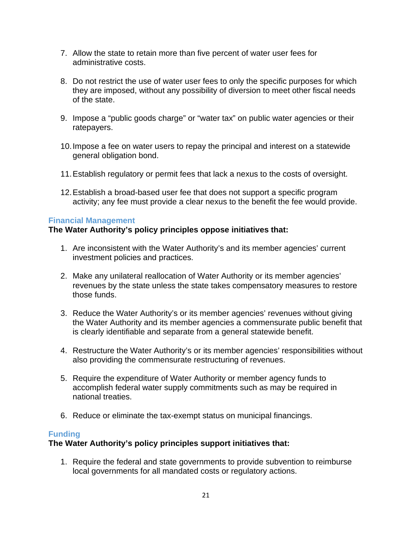- 7. Allow the state to retain more than five percent of water user fees for administrative costs.
- 8. Do not restrict the use of water user fees to only the specific purposes for which they are imposed, without any possibility of diversion to meet other fiscal needs of the state.
- 9. Impose a "public goods charge" or "water tax" on public water agencies or their ratepayers.
- 10.Impose a fee on water users to repay the principal and interest on a statewide general obligation bond.
- 11.Establish regulatory or permit fees that lack a nexus to the costs of oversight.
- 12.Establish a broad-based user fee that does not support a specific program activity; any fee must provide a clear nexus to the benefit the fee would provide.

## **Financial Management**

## **The Water Authority's policy principles oppose initiatives that:**

- 1. Are inconsistent with the Water Authority's and its member agencies' current investment policies and practices.
- 2. Make any unilateral reallocation of Water Authority or its member agencies' revenues by the state unless the state takes compensatory measures to restore those funds.
- 3. Reduce the Water Authority's or its member agencies' revenues without giving the Water Authority and its member agencies a commensurate public benefit that is clearly identifiable and separate from a general statewide benefit.
- 4. Restructure the Water Authority's or its member agencies' responsibilities without also providing the commensurate restructuring of revenues.
- 5. Require the expenditure of Water Authority or member agency funds to accomplish federal water supply commitments such as may be required in national treaties.
- 6. Reduce or eliminate the tax-exempt status on municipal financings.

## **Funding**

## **The Water Authority's policy principles support initiatives that:**

1. Require the federal and state governments to provide subvention to reimburse local governments for all mandated costs or regulatory actions.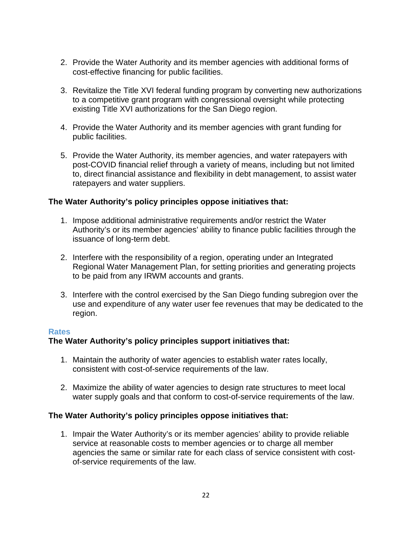- 2. Provide the Water Authority and its member agencies with additional forms of cost-effective financing for public facilities.
- 3. Revitalize the Title XVI federal funding program by converting new authorizations to a competitive grant program with congressional oversight while protecting existing Title XVI authorizations for the San Diego region.
- 4. Provide the Water Authority and its member agencies with grant funding for public facilities.
- 5. Provide the Water Authority, its member agencies, and water ratepayers with post-COVID financial relief through a variety of means, including but not limited to, direct financial assistance and flexibility in debt management, to assist water ratepayers and water suppliers.

## **The Water Authority's policy principles oppose initiatives that:**

- 1. Impose additional administrative requirements and/or restrict the Water Authority's or its member agencies' ability to finance public facilities through the issuance of long-term debt.
- 2. Interfere with the responsibility of a region, operating under an Integrated Regional Water Management Plan, for setting priorities and generating projects to be paid from any IRWM accounts and grants.
- 3. Interfere with the control exercised by the San Diego funding subregion over the use and expenditure of any water user fee revenues that may be dedicated to the region.

## **Rates**

## **The Water Authority's policy principles support initiatives that:**

- 1. Maintain the authority of water agencies to establish water rates locally, consistent with cost-of-service requirements of the law.
- 2. Maximize the ability of water agencies to design rate structures to meet local water supply goals and that conform to cost-of-service requirements of the law.

## **The Water Authority's policy principles oppose initiatives that:**

1. Impair the Water Authority's or its member agencies' ability to provide reliable service at reasonable costs to member agencies or to charge all member agencies the same or similar rate for each class of service consistent with costof-service requirements of the law.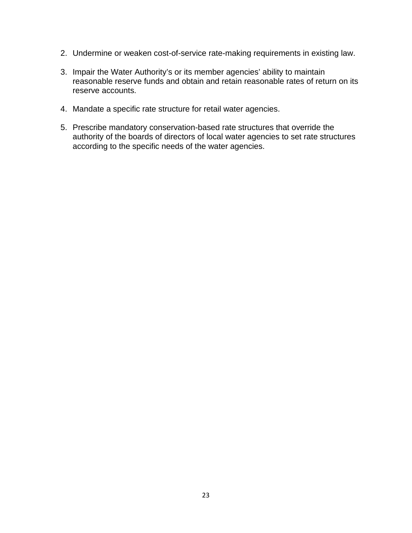- 2. Undermine or weaken cost-of-service rate-making requirements in existing law.
- 3. Impair the Water Authority's or its member agencies' ability to maintain reasonable reserve funds and obtain and retain reasonable rates of return on its reserve accounts.
- 4. Mandate a specific rate structure for retail water agencies.
- 5. Prescribe mandatory conservation-based rate structures that override the authority of the boards of directors of local water agencies to set rate structures according to the specific needs of the water agencies.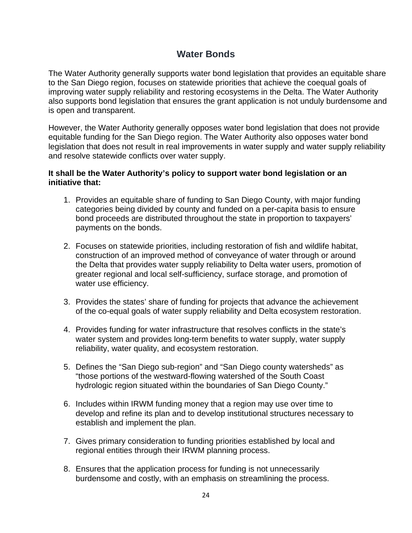## **Water Bonds**

The Water Authority generally supports water bond legislation that provides an equitable share to the San Diego region, focuses on statewide priorities that achieve the coequal goals of improving water supply reliability and restoring ecosystems in the Delta. The Water Authority also supports bond legislation that ensures the grant application is not unduly burdensome and is open and transparent.

However, the Water Authority generally opposes water bond legislation that does not provide equitable funding for the San Diego region. The Water Authority also opposes water bond legislation that does not result in real improvements in water supply and water supply reliability and resolve statewide conflicts over water supply.

## **It shall be the Water Authority's policy to support water bond legislation or an initiative that:**

- 1. Provides an equitable share of funding to San Diego County, with major funding categories being divided by county and funded on a per-capita basis to ensure bond proceeds are distributed throughout the state in proportion to taxpayers' payments on the bonds.
- 2. Focuses on statewide priorities, including restoration of fish and wildlife habitat, construction of an improved method of conveyance of water through or around the Delta that provides water supply reliability to Delta water users, promotion of greater regional and local self-sufficiency, surface storage, and promotion of water use efficiency.
- 3. Provides the states' share of funding for projects that advance the achievement of the co-equal goals of water supply reliability and Delta ecosystem restoration.
- 4. Provides funding for water infrastructure that resolves conflicts in the state's water system and provides long-term benefits to water supply, water supply reliability, water quality, and ecosystem restoration.
- 5. Defines the "San Diego sub-region" and "San Diego county watersheds" as "those portions of the westward-flowing watershed of the South Coast hydrologic region situated within the boundaries of San Diego County."
- 6. Includes within IRWM funding money that a region may use over time to develop and refine its plan and to develop institutional structures necessary to establish and implement the plan.
- 7. Gives primary consideration to funding priorities established by local and regional entities through their IRWM planning process.
- 8. Ensures that the application process for funding is not unnecessarily burdensome and costly, with an emphasis on streamlining the process.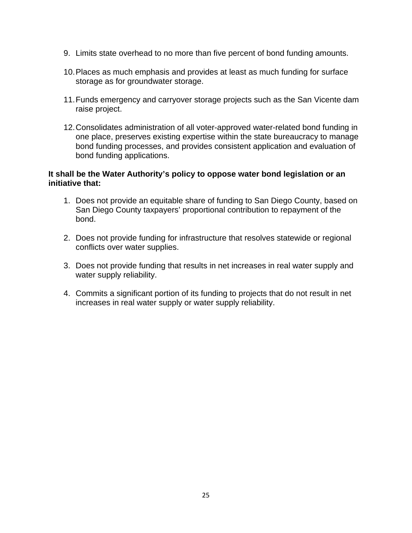- 9. Limits state overhead to no more than five percent of bond funding amounts.
- 10.Places as much emphasis and provides at least as much funding for surface storage as for groundwater storage.
- 11.Funds emergency and carryover storage projects such as the San Vicente dam raise project.
- 12.Consolidates administration of all voter-approved water-related bond funding in one place, preserves existing expertise within the state bureaucracy to manage bond funding processes, and provides consistent application and evaluation of bond funding applications.

## **It shall be the Water Authority's policy to oppose water bond legislation or an initiative that:**

- 1. Does not provide an equitable share of funding to San Diego County, based on San Diego County taxpayers' proportional contribution to repayment of the bond.
- 2. Does not provide funding for infrastructure that resolves statewide or regional conflicts over water supplies.
- 3. Does not provide funding that results in net increases in real water supply and water supply reliability.
- 4. Commits a significant portion of its funding to projects that do not result in net increases in real water supply or water supply reliability.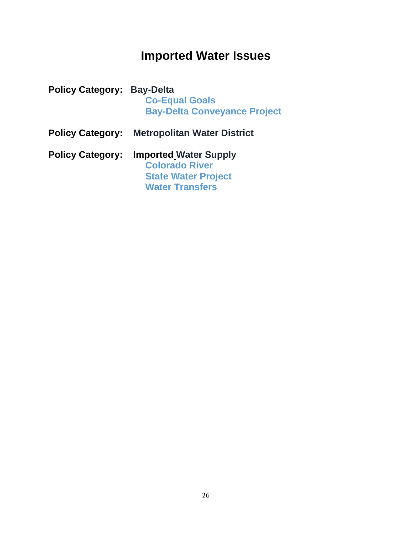## **Imported Water Issues**

| <b>Policy Category: Bay-Delta</b> | <b>Co-Equal Goals</b><br><b>Bay-Delta Conveyance Project</b>                                                  |
|-----------------------------------|---------------------------------------------------------------------------------------------------------------|
| <b>Policy Category:</b>           | <b>Metropolitan Water District</b>                                                                            |
| <b>Policy Category:</b>           | <b>Imported Water Supply</b><br><b>Colorado River</b><br><b>State Water Project</b><br><b>Water Transfers</b> |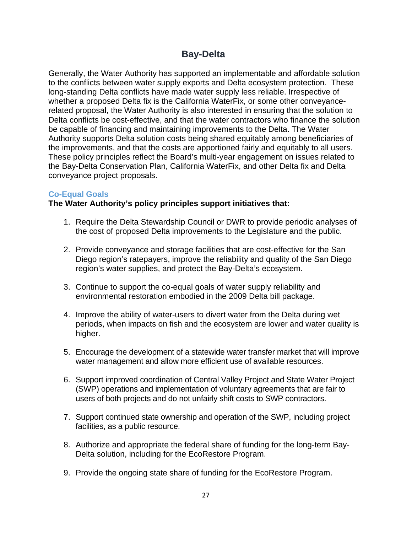## **Bay-Delta**

Generally, the Water Authority has supported an implementable and affordable solution to the conflicts between water supply exports and Delta ecosystem protection. These long-standing Delta conflicts have made water supply less reliable. Irrespective of whether a proposed Delta fix is the California WaterFix, or some other conveyancerelated proposal, the Water Authority is also interested in ensuring that the solution to Delta conflicts be cost-effective, and that the water contractors who finance the solution be capable of financing and maintaining improvements to the Delta. The Water Authority supports Delta solution costs being shared equitably among beneficiaries of the improvements, and that the costs are apportioned fairly and equitably to all users. These policy principles reflect the Board's multi-year engagement on issues related to the Bay-Delta Conservation Plan, California WaterFix, and other Delta fix and Delta conveyance project proposals.

## **Co-Equal Goals**

- 1. Require the Delta Stewardship Council or DWR to provide periodic analyses of the cost of proposed Delta improvements to the Legislature and the public.
- 2. Provide conveyance and storage facilities that are cost-effective for the San Diego region's ratepayers, improve the reliability and quality of the San Diego region's water supplies, and protect the Bay-Delta's ecosystem.
- 3. Continue to support the co-equal goals of water supply reliability and environmental restoration embodied in the 2009 Delta bill package.
- 4. Improve the ability of water-users to divert water from the Delta during wet periods, when impacts on fish and the ecosystem are lower and water quality is higher.
- 5. Encourage the development of a statewide water transfer market that will improve water management and allow more efficient use of available resources.
- 6. Support improved coordination of Central Valley Project and State Water Project (SWP) operations and implementation of voluntary agreements that are fair to users of both projects and do not unfairly shift costs to SWP contractors.
- 7. Support continued state ownership and operation of the SWP, including project facilities, as a public resource.
- 8. Authorize and appropriate the federal share of funding for the long-term Bay-Delta solution, including for the EcoRestore Program.
- 9. Provide the ongoing state share of funding for the EcoRestore Program.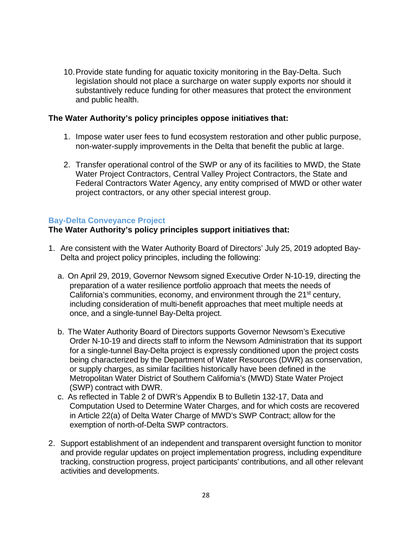10.Provide state funding for aquatic toxicity monitoring in the Bay-Delta. Such legislation should not place a surcharge on water supply exports nor should it substantively reduce funding for other measures that protect the environment and public health.

#### **The Water Authority's policy principles oppose initiatives that:**

- 1. Impose water user fees to fund ecosystem restoration and other public purpose, non-water-supply improvements in the Delta that benefit the public at large.
- 2. Transfer operational control of the SWP or any of its facilities to MWD, the State Water Project Contractors, Central Valley Project Contractors, the State and Federal Contractors Water Agency, any entity comprised of MWD or other water project contractors, or any other special interest group.

#### **Bay-Delta Conveyance Project**

- 1. Are consistent with the Water Authority Board of Directors' July 25, 2019 adopted Bay-Delta and project policy principles, including the following:
	- a. On April 29, 2019, Governor Newsom signed Executive Order N-10-19, directing the preparation of a water resilience portfolio approach that meets the needs of California's communities, economy, and environment through the 21<sup>st</sup> century, including consideration of multi-benefit approaches that meet multiple needs at once, and a single-tunnel Bay-Delta project.
	- b. The Water Authority Board of Directors supports Governor Newsom's Executive Order N-10-19 and directs staff to inform the Newsom Administration that its support for a single-tunnel Bay-Delta project is expressly conditioned upon the project costs being characterized by the Department of Water Resources (DWR) as conservation, or supply charges, as similar facilities historically have been defined in the Metropolitan Water District of Southern California's (MWD) State Water Project (SWP) contract with DWR.
	- c. As reflected in Table 2 of DWR's Appendix B to Bulletin 132-17, Data and Computation Used to Determine Water Charges, and for which costs are recovered in Article 22(a) of Delta Water Charge of MWD's SWP Contract; allow for the exemption of north-of-Delta SWP contractors.
- 2. Support establishment of an independent and transparent oversight function to monitor and provide regular updates on project implementation progress, including expenditure tracking, construction progress, project participants' contributions, and all other relevant activities and developments.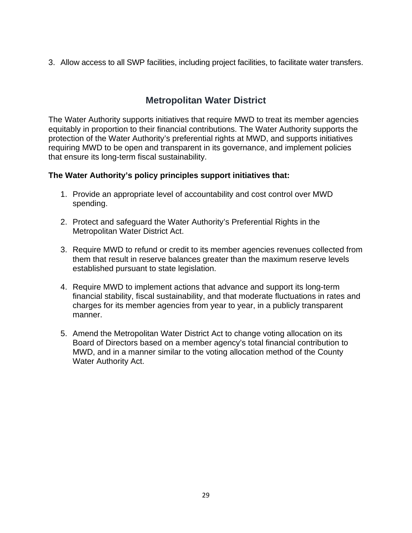3. Allow access to all SWP facilities, including project facilities, to facilitate water transfers.

## **Metropolitan Water District**

The Water Authority supports initiatives that require MWD to treat its member agencies equitably in proportion to their financial contributions. The Water Authority supports the protection of the Water Authority's preferential rights at MWD, and supports initiatives requiring MWD to be open and transparent in its governance, and implement policies that ensure its long-term fiscal sustainability.

- 1. Provide an appropriate level of accountability and cost control over MWD spending.
- 2. Protect and safeguard the Water Authority's Preferential Rights in the Metropolitan Water District Act.
- 3. Require MWD to refund or credit to its member agencies revenues collected from them that result in reserve balances greater than the maximum reserve levels established pursuant to state legislation.
- 4. Require MWD to implement actions that advance and support its long-term financial stability, fiscal sustainability, and that moderate fluctuations in rates and charges for its member agencies from year to year, in a publicly transparent manner.
- 5. Amend the Metropolitan Water District Act to change voting allocation on its Board of Directors based on a member agency's total financial contribution to MWD, and in a manner similar to the voting allocation method of the County Water Authority Act.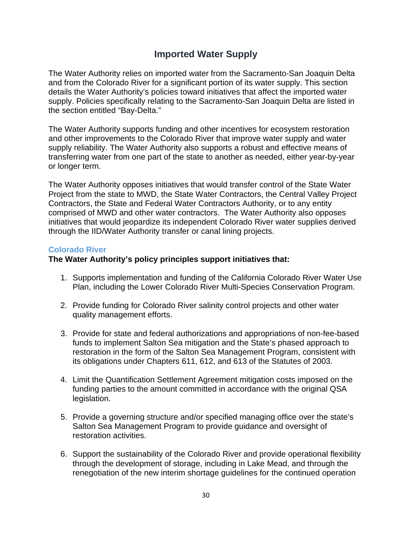## **Imported Water Supply**

The Water Authority relies on imported water from the Sacramento-San Joaquin Delta and from the Colorado River for a significant portion of its water supply. This section details the Water Authority's policies toward initiatives that affect the imported water supply. Policies specifically relating to the Sacramento-San Joaquin Delta are listed in the section entitled "Bay-Delta."

The Water Authority supports funding and other incentives for ecosystem restoration and other improvements to the Colorado River that improve water supply and water supply reliability. The Water Authority also supports a robust and effective means of transferring water from one part of the state to another as needed, either year-by-year or longer term.

The Water Authority opposes initiatives that would transfer control of the State Water Project from the state to MWD, the State Water Contractors, the Central Valley Project Contractors, the State and Federal Water Contractors Authority, or to any entity comprised of MWD and other water contractors. The Water Authority also opposes initiatives that would jeopardize its independent Colorado River water supplies derived through the IID/Water Authority transfer or canal lining projects.

## **Colorado River**

- 1. Supports implementation and funding of the California Colorado River Water Use Plan, including the Lower Colorado River Multi-Species Conservation Program.
- 2. Provide funding for Colorado River salinity control projects and other water quality management efforts.
- 3. Provide for state and federal authorizations and appropriations of non-fee-based funds to implement Salton Sea mitigation and the State's phased approach to restoration in the form of the Salton Sea Management Program, consistent with its obligations under Chapters 611, 612, and 613 of the Statutes of 2003.
- 4. Limit the Quantification Settlement Agreement mitigation costs imposed on the funding parties to the amount committed in accordance with the original QSA legislation.
- 5. Provide a governing structure and/or specified managing office over the state's Salton Sea Management Program to provide guidance and oversight of restoration activities.
- 6. Support the sustainability of the Colorado River and provide operational flexibility through the development of storage, including in Lake Mead, and through the renegotiation of the new interim shortage guidelines for the continued operation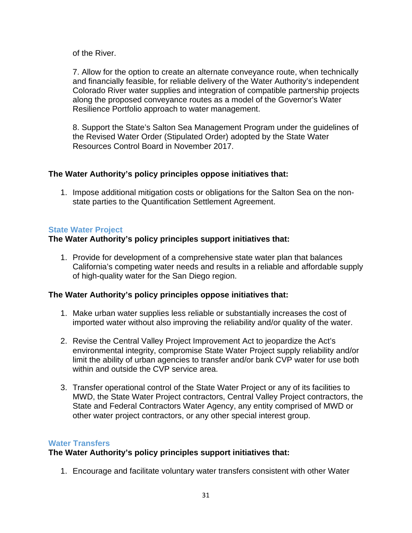of the River.

7. Allow for the option to create an alternate conveyance route, when technically and financially feasible, for reliable delivery of the Water Authority's independent Colorado River water supplies and integration of compatible partnership projects along the proposed conveyance routes as a model of the Governor's Water Resilience Portfolio approach to water management.

8. Support the State's Salton Sea Management Program under the guidelines of the Revised Water Order (Stipulated Order) adopted by the State Water Resources Control Board in November 2017.

## **The Water Authority's policy principles oppose initiatives that:**

1. Impose additional mitigation costs or obligations for the Salton Sea on the nonstate parties to the Quantification Settlement Agreement.

## **State Water Project**

## **The Water Authority's policy principles support initiatives that:**

1. Provide for development of a comprehensive state water plan that balances California's competing water needs and results in a reliable and affordable supply of high-quality water for the San Diego region.

## **The Water Authority's policy principles oppose initiatives that:**

- 1. Make urban water supplies less reliable or substantially increases the cost of imported water without also improving the reliability and/or quality of the water.
- 2. Revise the Central Valley Project Improvement Act to jeopardize the Act's environmental integrity, compromise State Water Project supply reliability and/or limit the ability of urban agencies to transfer and/or bank CVP water for use both within and outside the CVP service area.
- 3. Transfer operational control of the State Water Project or any of its facilities to MWD, the State Water Project contractors, Central Valley Project contractors, the State and Federal Contractors Water Agency, any entity comprised of MWD or other water project contractors, or any other special interest group.

## **Water Transfers**

## **The Water Authority's policy principles support initiatives that:**

1. Encourage and facilitate voluntary water transfers consistent with other Water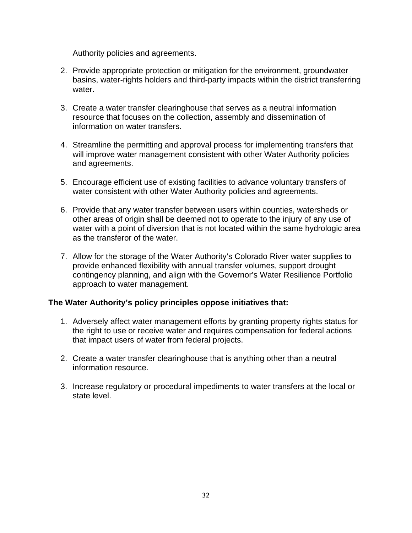Authority policies and agreements.

- 2. Provide appropriate protection or mitigation for the environment, groundwater basins, water-rights holders and third-party impacts within the district transferring water.
- 3. Create a water transfer clearinghouse that serves as a neutral information resource that focuses on the collection, assembly and dissemination of information on water transfers.
- 4. Streamline the permitting and approval process for implementing transfers that will improve water management consistent with other Water Authority policies and agreements.
- 5. Encourage efficient use of existing facilities to advance voluntary transfers of water consistent with other Water Authority policies and agreements.
- 6. Provide that any water transfer between users within counties, watersheds or other areas of origin shall be deemed not to operate to the injury of any use of water with a point of diversion that is not located within the same hydrologic area as the transferor of the water.
- 7. Allow for the storage of the Water Authority's Colorado River water supplies to provide enhanced flexibility with annual transfer volumes, support drought contingency planning, and align with the Governor's Water Resilience Portfolio approach to water management.

- 1. Adversely affect water management efforts by granting property rights status for the right to use or receive water and requires compensation for federal actions that impact users of water from federal projects.
- 2. Create a water transfer clearinghouse that is anything other than a neutral information resource.
- 3. Increase regulatory or procedural impediments to water transfers at the local or state level.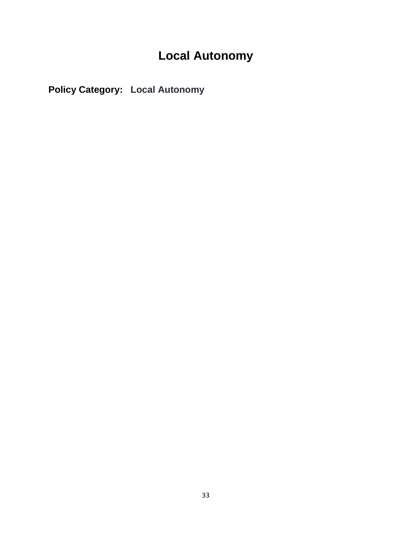## **Local Autonomy**

**Policy Category: Local Autonomy**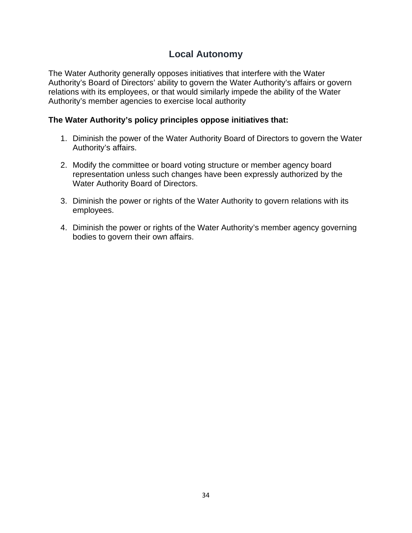## **Local Autonomy**

The Water Authority generally opposes initiatives that interfere with the Water Authority's Board of Directors' ability to govern the Water Authority's affairs or govern relations with its employees, or that would similarly impede the ability of the Water Authority's member agencies to exercise local authority

- 1. Diminish the power of the Water Authority Board of Directors to govern the Water Authority's affairs.
- 2. Modify the committee or board voting structure or member agency board representation unless such changes have been expressly authorized by the Water Authority Board of Directors.
- 3. Diminish the power or rights of the Water Authority to govern relations with its employees.
- 4. Diminish the power or rights of the Water Authority's member agency governing bodies to govern their own affairs.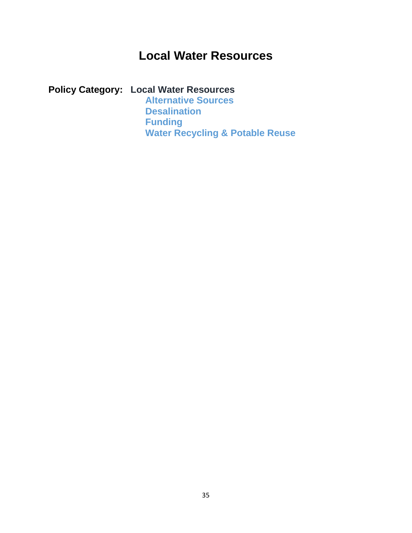## **Local Water Resources**

## **Policy Category: Local Water Resources**

**Alternative Sources Desalination Funding Water Recycling & Potable Reuse**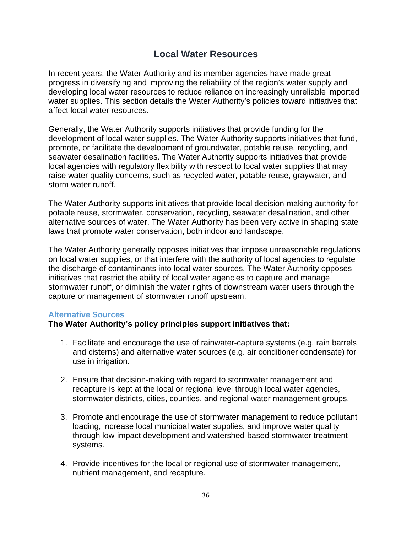## **Local Water Resources**

In recent years, the Water Authority and its member agencies have made great progress in diversifying and improving the reliability of the region's water supply and developing local water resources to reduce reliance on increasingly unreliable imported water supplies. This section details the Water Authority's policies toward initiatives that affect local water resources.

Generally, the Water Authority supports initiatives that provide funding for the development of local water supplies. The Water Authority supports initiatives that fund, promote, or facilitate the development of groundwater, potable reuse, recycling, and seawater desalination facilities. The Water Authority supports initiatives that provide local agencies with regulatory flexibility with respect to local water supplies that may raise water quality concerns, such as recycled water, potable reuse, graywater, and storm water runoff.

The Water Authority supports initiatives that provide local decision-making authority for potable reuse, stormwater, conservation, recycling, seawater desalination, and other alternative sources of water. The Water Authority has been very active in shaping state laws that promote water conservation, both indoor and landscape.

The Water Authority generally opposes initiatives that impose unreasonable regulations on local water supplies, or that interfere with the authority of local agencies to regulate the discharge of contaminants into local water sources. The Water Authority opposes initiatives that restrict the ability of local water agencies to capture and manage stormwater runoff, or diminish the water rights of downstream water users through the capture or management of stormwater runoff upstream.

## **Alternative Sources**

- 1. Facilitate and encourage the use of rainwater-capture systems (e.g. rain barrels and cisterns) and alternative water sources (e.g. air conditioner condensate) for use in irrigation.
- 2. Ensure that decision-making with regard to stormwater management and recapture is kept at the local or regional level through local water agencies, stormwater districts, cities, counties, and regional water management groups.
- 3. Promote and encourage the use of stormwater management to reduce pollutant loading, increase local municipal water supplies, and improve water quality through low-impact development and watershed-based stormwater treatment systems.
- 4. Provide incentives for the local or regional use of stormwater management, nutrient management, and recapture.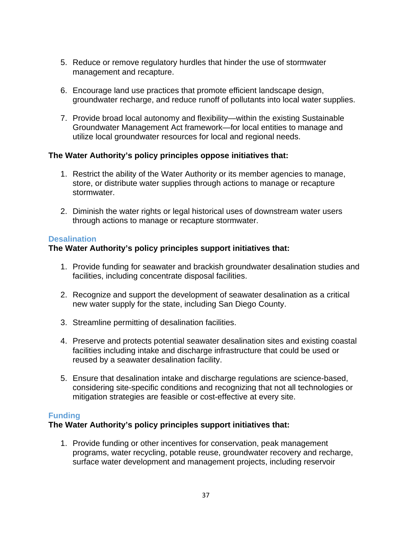- 5. Reduce or remove regulatory hurdles that hinder the use of stormwater management and recapture.
- 6. Encourage land use practices that promote efficient landscape design, groundwater recharge, and reduce runoff of pollutants into local water supplies.
- 7. Provide broad local autonomy and flexibility—within the existing Sustainable Groundwater Management Act framework—for local entities to manage and utilize local groundwater resources for local and regional needs.

## **The Water Authority's policy principles oppose initiatives that:**

- 1. Restrict the ability of the Water Authority or its member agencies to manage, store, or distribute water supplies through actions to manage or recapture stormwater.
- 2. Diminish the water rights or legal historical uses of downstream water users through actions to manage or recapture stormwater.

## **Desalination**

## **The Water Authority's policy principles support initiatives that:**

- 1. Provide funding for seawater and brackish groundwater desalination studies and facilities, including concentrate disposal facilities.
- 2. Recognize and support the development of seawater desalination as a critical new water supply for the state, including San Diego County.
- 3. Streamline permitting of desalination facilities.
- 4. Preserve and protects potential seawater desalination sites and existing coastal facilities including intake and discharge infrastructure that could be used or reused by a seawater desalination facility.
- 5. Ensure that desalination intake and discharge regulations are science-based, considering site-specific conditions and recognizing that not all technologies or mitigation strategies are feasible or cost-effective at every site.

## **Funding**

## **The Water Authority's policy principles support initiatives that:**

1. Provide funding or other incentives for conservation, peak management programs, water recycling, potable reuse, groundwater recovery and recharge, surface water development and management projects, including reservoir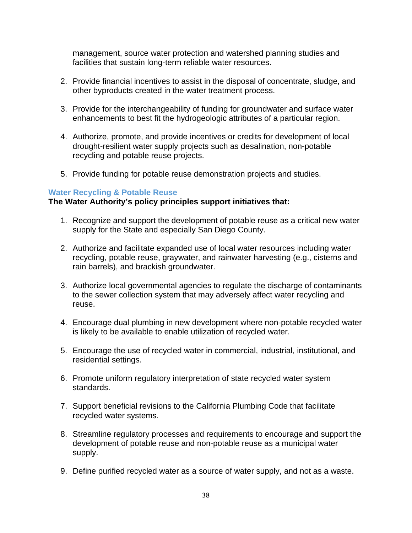management, source water protection and watershed planning studies and facilities that sustain long-term reliable water resources.

- 2. Provide financial incentives to assist in the disposal of concentrate, sludge, and other byproducts created in the water treatment process.
- 3. Provide for the interchangeability of funding for groundwater and surface water enhancements to best fit the hydrogeologic attributes of a particular region.
- 4. Authorize, promote, and provide incentives or credits for development of local drought-resilient water supply projects such as desalination, non-potable recycling and potable reuse projects.
- 5. Provide funding for potable reuse demonstration projects and studies.

#### **Water Recycling & Potable Reuse**

- 1. Recognize and support the development of potable reuse as a critical new water supply for the State and especially San Diego County.
- 2. Authorize and facilitate expanded use of local water resources including water recycling, potable reuse, graywater, and rainwater harvesting (e.g., cisterns and rain barrels), and brackish groundwater.
- 3. Authorize local governmental agencies to regulate the discharge of contaminants to the sewer collection system that may adversely affect water recycling and reuse.
- 4. Encourage dual plumbing in new development where non-potable recycled water is likely to be available to enable utilization of recycled water.
- 5. Encourage the use of recycled water in commercial, industrial, institutional, and residential settings.
- 6. Promote uniform regulatory interpretation of state recycled water system standards.
- 7. Support beneficial revisions to the California Plumbing Code that facilitate recycled water systems.
- 8. Streamline regulatory processes and requirements to encourage and support the development of potable reuse and non-potable reuse as a municipal water supply.
- 9. Define purified recycled water as a source of water supply, and not as a waste.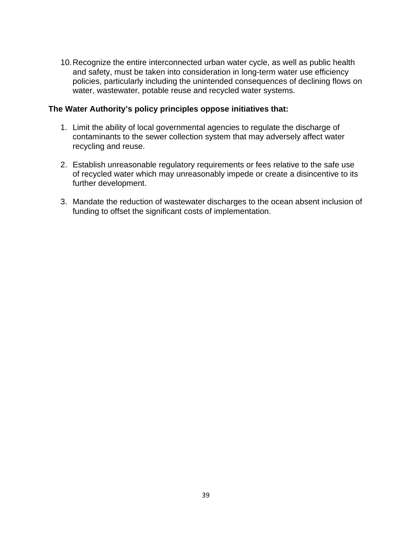10.Recognize the entire interconnected urban water cycle, as well as public health and safety, must be taken into consideration in long-term water use efficiency policies, particularly including the unintended consequences of declining flows on water, wastewater, potable reuse and recycled water systems.

- 1. Limit the ability of local governmental agencies to regulate the discharge of contaminants to the sewer collection system that may adversely affect water recycling and reuse.
- 2. Establish unreasonable regulatory requirements or fees relative to the safe use of recycled water which may unreasonably impede or create a disincentive to its further development.
- 3. Mandate the reduction of wastewater discharges to the ocean absent inclusion of funding to offset the significant costs of implementation.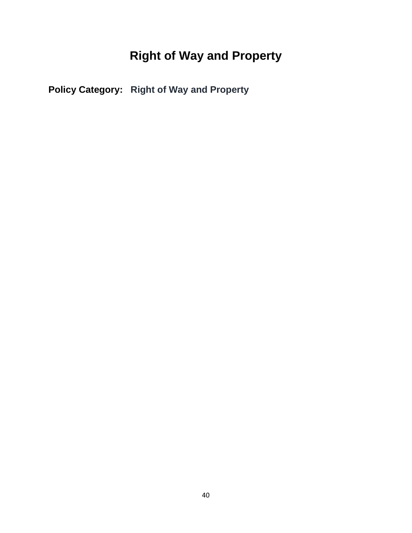## **Right of Way and Property**

**Policy Category: Right of Way and Property**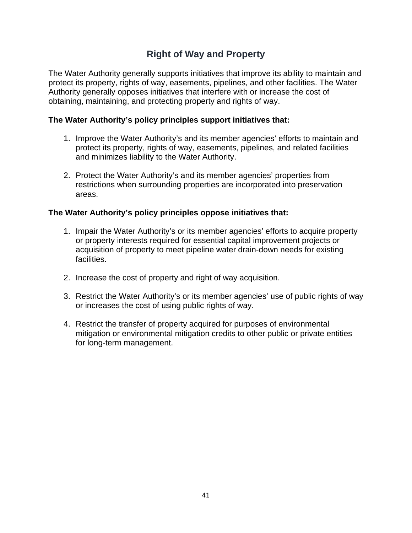## **Right of Way and Property**

The Water Authority generally supports initiatives that improve its ability to maintain and protect its property, rights of way, easements, pipelines, and other facilities. The Water Authority generally opposes initiatives that interfere with or increase the cost of obtaining, maintaining, and protecting property and rights of way.

## **The Water Authority's policy principles support initiatives that:**

- 1. Improve the Water Authority's and its member agencies' efforts to maintain and protect its property, rights of way, easements, pipelines, and related facilities and minimizes liability to the Water Authority.
- 2. Protect the Water Authority's and its member agencies' properties from restrictions when surrounding properties are incorporated into preservation areas.

- 1. Impair the Water Authority's or its member agencies' efforts to acquire property or property interests required for essential capital improvement projects or acquisition of property to meet pipeline water drain-down needs for existing facilities.
- 2. Increase the cost of property and right of way acquisition.
- 3. Restrict the Water Authority's or its member agencies' use of public rights of way or increases the cost of using public rights of way.
- 4. Restrict the transfer of property acquired for purposes of environmental mitigation or environmental mitigation credits to other public or private entities for long-term management.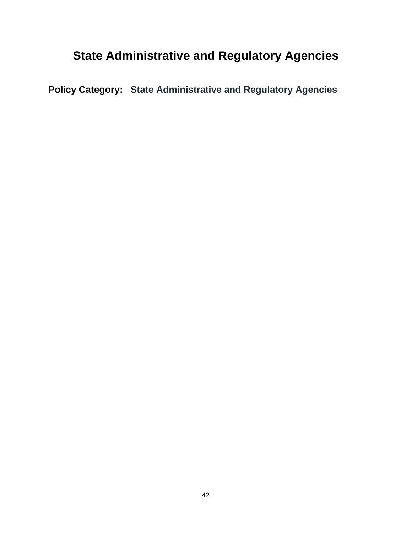## **State Administrative and Regulatory Agencies**

**Policy Category: State Administrative and Regulatory Agencies**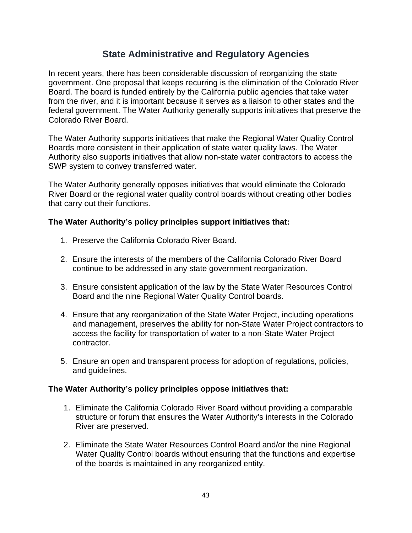## **State Administrative and Regulatory Agencies**

In recent years, there has been considerable discussion of reorganizing the state government. One proposal that keeps recurring is the elimination of the Colorado River Board. The board is funded entirely by the California public agencies that take water from the river, and it is important because it serves as a liaison to other states and the federal government. The Water Authority generally supports initiatives that preserve the Colorado River Board.

The Water Authority supports initiatives that make the Regional Water Quality Control Boards more consistent in their application of state water quality laws. The Water Authority also supports initiatives that allow non-state water contractors to access the SWP system to convey transferred water.

The Water Authority generally opposes initiatives that would eliminate the Colorado River Board or the regional water quality control boards without creating other bodies that carry out their functions.

#### **The Water Authority's policy principles support initiatives that:**

- 1. Preserve the California Colorado River Board.
- 2. Ensure the interests of the members of the California Colorado River Board continue to be addressed in any state government reorganization.
- 3. Ensure consistent application of the law by the State Water Resources Control Board and the nine Regional Water Quality Control boards.
- 4. Ensure that any reorganization of the State Water Project, including operations and management, preserves the ability for non-State Water Project contractors to access the facility for transportation of water to a non-State Water Project contractor.
- 5. Ensure an open and transparent process for adoption of regulations, policies, and guidelines.

- 1. Eliminate the California Colorado River Board without providing a comparable structure or forum that ensures the Water Authority's interests in the Colorado River are preserved.
- 2. Eliminate the State Water Resources Control Board and/or the nine Regional Water Quality Control boards without ensuring that the functions and expertise of the boards is maintained in any reorganized entity.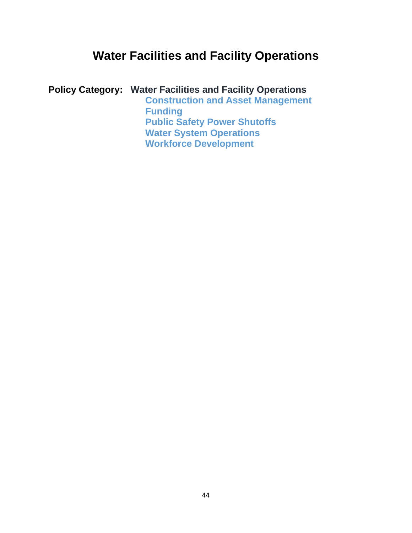## **Water Facilities and Facility Operations**

**Policy Category: Water Facilities and Facility Operations**

**Construction and Asset Management Funding Public Safety Power Shutoffs Water System Operations Workforce Development**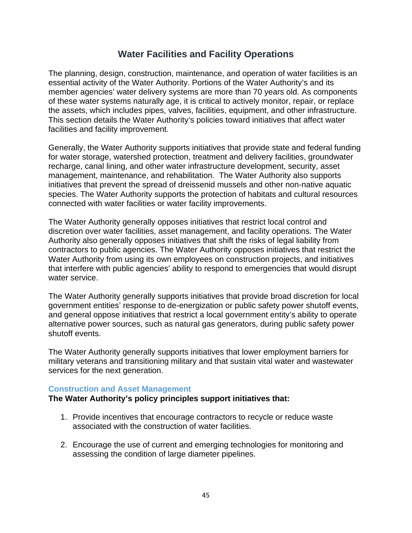## **Water Facilities and Facility Operations**

The planning, design, construction, maintenance, and operation of water facilities is an essential activity of the Water Authority. Portions of the Water Authority's and its member agencies' water delivery systems are more than 70 years old. As components of these water systems naturally age, it is critical to actively monitor, repair, or replace the assets, which includes pipes, valves, facilities, equipment, and other infrastructure. This section details the Water Authority's policies toward initiatives that affect water facilities and facility improvement.

Generally, the Water Authority supports initiatives that provide state and federal funding for water storage, watershed protection, treatment and delivery facilities, groundwater recharge, canal lining, and other water infrastructure development, security, asset management, maintenance, and rehabilitation. The Water Authority also supports initiatives that prevent the spread of dreissenid mussels and other non-native aquatic species. The Water Authority supports the protection of habitats and cultural resources connected with water facilities or water facility improvements.

The Water Authority generally opposes initiatives that restrict local control and discretion over water facilities, asset management, and facility operations. The Water Authority also generally opposes initiatives that shift the risks of legal liability from contractors to public agencies. The Water Authority opposes initiatives that restrict the Water Authority from using its own employees on construction projects, and initiatives that interfere with public agencies' ability to respond to emergencies that would disrupt water service.

The Water Authority generally supports initiatives that provide broad discretion for local government entities' response to de-energization or public safety power shutoff events, and general oppose initiatives that restrict a local government entity's ability to operate alternative power sources, such as natural gas generators, during public safety power shutoff events.

The Water Authority generally supports initiatives that lower employment barriers for military veterans and transitioning military and that sustain vital water and wastewater services for the next generation.

## **Construction and Asset Management**

- 1. Provide incentives that encourage contractors to recycle or reduce waste associated with the construction of water facilities.
- 2. Encourage the use of current and emerging technologies for monitoring and assessing the condition of large diameter pipelines.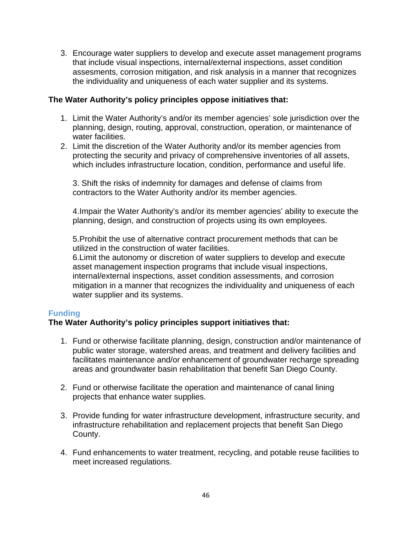3. Encourage water suppliers to develop and execute asset management programs that include visual inspections, internal/external inspections, asset condition assesments, corrosion mitigation, and risk analysis in a manner that recognizes the individuality and uniqueness of each water supplier and its systems.

## **The Water Authority's policy principles oppose initiatives that:**

- 1. Limit the Water Authority's and/or its member agencies' sole jurisdiction over the planning, design, routing, approval, construction, operation, or maintenance of water facilities.
- 2. Limit the discretion of the Water Authority and/or its member agencies from protecting the security and privacy of comprehensive inventories of all assets, which includes infrastructure location, condition, performance and useful life.

3. Shift the risks of indemnity for damages and defense of claims from contractors to the Water Authority and/or its member agencies.

4.Impair the Water Authority's and/or its member agencies' ability to execute the planning, design, and construction of projects using its own employees.

5.Prohibit the use of alternative contract procurement methods that can be utilized in the construction of water facilities.

6.Limit the autonomy or discretion of water suppliers to develop and execute asset management inspection programs that include visual inspections, internal/external inspections, asset condition assessments, and corrosion mitigation in a manner that recognizes the individuality and uniqueness of each water supplier and its systems.

## **Funding**

- 1. Fund or otherwise facilitate planning, design, construction and/or maintenance of public water storage, watershed areas, and treatment and delivery facilities and facilitates maintenance and/or enhancement of groundwater recharge spreading areas and groundwater basin rehabilitation that benefit San Diego County.
- 2. Fund or otherwise facilitate the operation and maintenance of canal lining projects that enhance water supplies.
- 3. Provide funding for water infrastructure development, infrastructure security, and infrastructure rehabilitation and replacement projects that benefit San Diego County.
- 4. Fund enhancements to water treatment, recycling, and potable reuse facilities to meet increased regulations.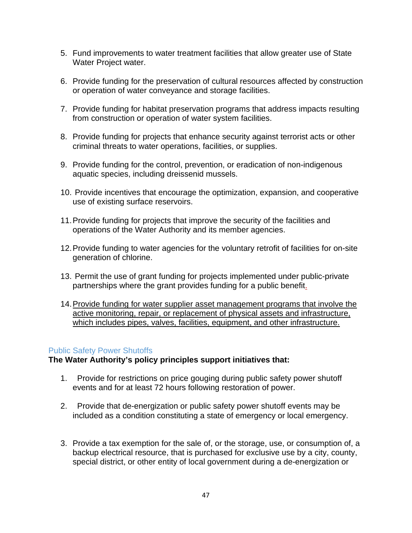- 5. Fund improvements to water treatment facilities that allow greater use of State Water Project water.
- 6. Provide funding for the preservation of cultural resources affected by construction or operation of water conveyance and storage facilities.
- 7. Provide funding for habitat preservation programs that address impacts resulting from construction or operation of water system facilities.
- 8. Provide funding for projects that enhance security against terrorist acts or other criminal threats to water operations, facilities, or supplies.
- 9. Provide funding for the control, prevention, or eradication of non-indigenous aquatic species, including dreissenid mussels.
- 10. Provide incentives that encourage the optimization, expansion, and cooperative use of existing surface reservoirs.
- 11.Provide funding for projects that improve the security of the facilities and operations of the Water Authority and its member agencies.
- 12.Provide funding to water agencies for the voluntary retrofit of facilities for on-site generation of chlorine.
- 13. Permit the use of grant funding for projects implemented under public-private partnerships where the grant provides funding for a public benefit.
- 14.Provide funding for water supplier asset management programs that involve the active monitoring, repair, or replacement of physical assets and infrastructure, which includes pipes, valves, facilities, equipment, and other infrastructure.

## Public Safety Power Shutoffs

- 1. Provide for restrictions on price gouging during public safety power shutoff events and for at least 72 hours following restoration of power.
- 2. Provide that de-energization or public safety power shutoff events may be included as a condition constituting a state of emergency or local emergency.
- 3. Provide a tax exemption for the sale of, or the storage, use, or consumption of, a backup electrical resource, that is purchased for exclusive use by a city, county, special district, or other entity of local government during a de-energization or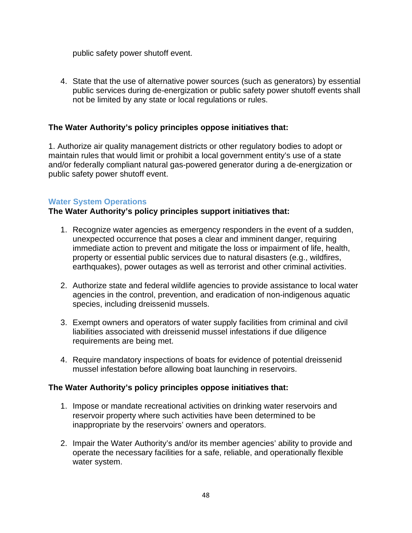public safety power shutoff event.

4. State that the use of alternative power sources (such as generators) by essential public services during de-energization or public safety power shutoff events shall not be limited by any state or local regulations or rules.

## **The Water Authority's policy principles oppose initiatives that:**

1. Authorize air quality management districts or other regulatory bodies to adopt or maintain rules that would limit or prohibit a local government entity's use of a state and/or federally compliant natural gas-powered generator during a de-energization or public safety power shutoff event.

## **Water System Operations**

## **The Water Authority's policy principles support initiatives that:**

- 1. Recognize water agencies as emergency responders in the event of a sudden, unexpected occurrence that poses a clear and imminent danger, requiring immediate action to prevent and mitigate the loss or impairment of life, health, property or essential public services due to natural disasters (e.g., wildfires, earthquakes), power outages as well as terrorist and other criminal activities.
- 2. Authorize state and federal wildlife agencies to provide assistance to local water agencies in the control, prevention, and eradication of non-indigenous aquatic species, including dreissenid mussels.
- 3. Exempt owners and operators of water supply facilities from criminal and civil liabilities associated with dreissenid mussel infestations if due diligence requirements are being met.
- 4. Require mandatory inspections of boats for evidence of potential dreissenid mussel infestation before allowing boat launching in reservoirs.

- 1. Impose or mandate recreational activities on drinking water reservoirs and reservoir property where such activities have been determined to be inappropriate by the reservoirs' owners and operators.
- 2. Impair the Water Authority's and/or its member agencies' ability to provide and operate the necessary facilities for a safe, reliable, and operationally flexible water system.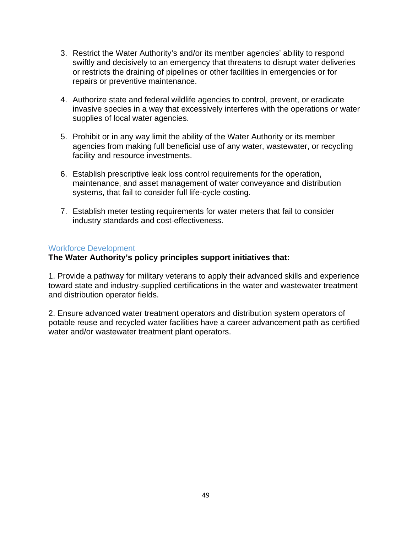- 3. Restrict the Water Authority's and/or its member agencies' ability to respond swiftly and decisively to an emergency that threatens to disrupt water deliveries or restricts the draining of pipelines or other facilities in emergencies or for repairs or preventive maintenance.
- 4. Authorize state and federal wildlife agencies to control, prevent, or eradicate invasive species in a way that excessively interferes with the operations or water supplies of local water agencies.
- 5. Prohibit or in any way limit the ability of the Water Authority or its member agencies from making full beneficial use of any water, wastewater, or recycling facility and resource investments.
- 6. Establish prescriptive leak loss control requirements for the operation, maintenance, and asset management of water conveyance and distribution systems, that fail to consider full life-cycle costing.
- 7. Establish meter testing requirements for water meters that fail to consider industry standards and cost-effectiveness.

## Workforce Development

## **The Water Authority's policy principles support initiatives that:**

1. Provide a pathway for military veterans to apply their advanced skills and experience toward state and industry-supplied certifications in the water and wastewater treatment and distribution operator fields.

2. Ensure advanced water treatment operators and distribution system operators of potable reuse and recycled water facilities have a career advancement path as certified water and/or wastewater treatment plant operators.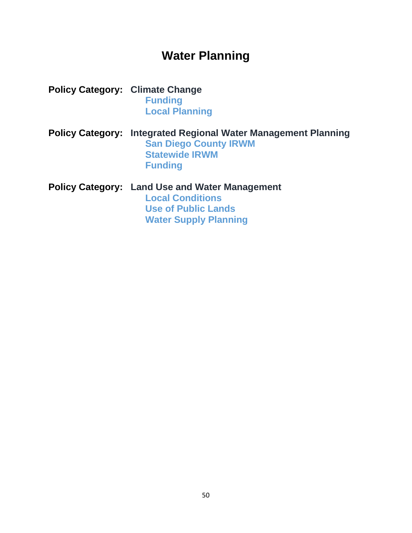## **Water Planning**

**Policy Category: Climate Change Funding Local Planning**

**Policy Category: Integrated Regional Water Management Planning San Diego County IRWM Statewide IRWM Funding**

**Policy Category: Land Use and Water Management Local Conditions Use of Public Lands Water Supply Planning**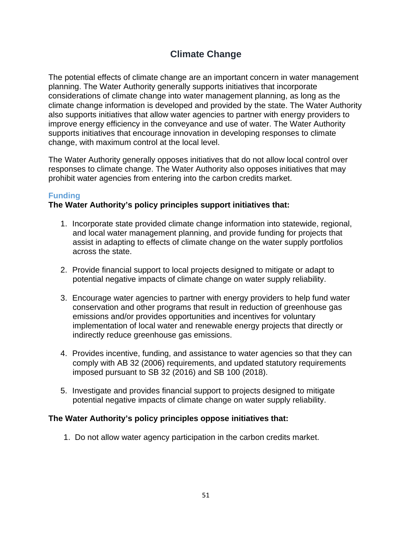## **Climate Change**

The potential effects of climate change are an important concern in water management planning. The Water Authority generally supports initiatives that incorporate considerations of climate change into water management planning, as long as the climate change information is developed and provided by the state. The Water Authority also supports initiatives that allow water agencies to partner with energy providers to improve energy efficiency in the conveyance and use of water. The Water Authority supports initiatives that encourage innovation in developing responses to climate change, with maximum control at the local level.

The Water Authority generally opposes initiatives that do not allow local control over responses to climate change. The Water Authority also opposes initiatives that may prohibit water agencies from entering into the carbon credits market.

## **Funding**

## **The Water Authority's policy principles support initiatives that:**

- 1. Incorporate state provided climate change information into statewide, regional, and local water management planning, and provide funding for projects that assist in adapting to effects of climate change on the water supply portfolios across the state.
- 2. Provide financial support to local projects designed to mitigate or adapt to potential negative impacts of climate change on water supply reliability.
- 3. Encourage water agencies to partner with energy providers to help fund water conservation and other programs that result in reduction of greenhouse gas emissions and/or provides opportunities and incentives for voluntary implementation of local water and renewable energy projects that directly or indirectly reduce greenhouse gas emissions.
- 4. Provides incentive, funding, and assistance to water agencies so that they can comply with AB 32 (2006) requirements, and updated statutory requirements imposed pursuant to SB 32 (2016) and SB 100 (2018).
- 5. Investigate and provides financial support to projects designed to mitigate potential negative impacts of climate change on water supply reliability.

## **The Water Authority's policy principles oppose initiatives that:**

1. Do not allow water agency participation in the carbon credits market.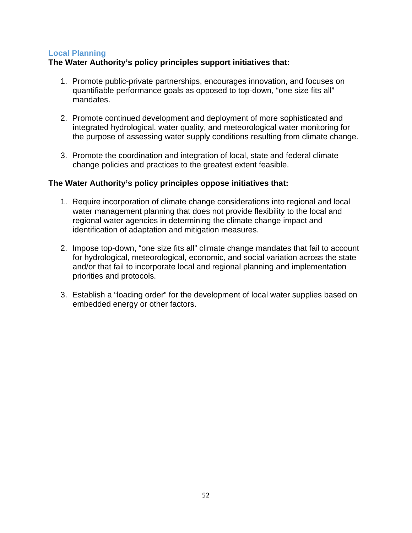## **Local Planning**

## **The Water Authority's policy principles support initiatives that:**

- 1. Promote public-private partnerships, encourages innovation, and focuses on quantifiable performance goals as opposed to top-down, "one size fits all" mandates.
- 2. Promote continued development and deployment of more sophisticated and integrated hydrological, water quality, and meteorological water monitoring for the purpose of assessing water supply conditions resulting from climate change.
- 3. Promote the coordination and integration of local, state and federal climate change policies and practices to the greatest extent feasible.

- 1. Require incorporation of climate change considerations into regional and local water management planning that does not provide flexibility to the local and regional water agencies in determining the climate change impact and identification of adaptation and mitigation measures.
- 2. Impose top-down, "one size fits all" climate change mandates that fail to account for hydrological, meteorological, economic, and social variation across the state and/or that fail to incorporate local and regional planning and implementation priorities and protocols.
- 3. Establish a "loading order" for the development of local water supplies based on embedded energy or other factors.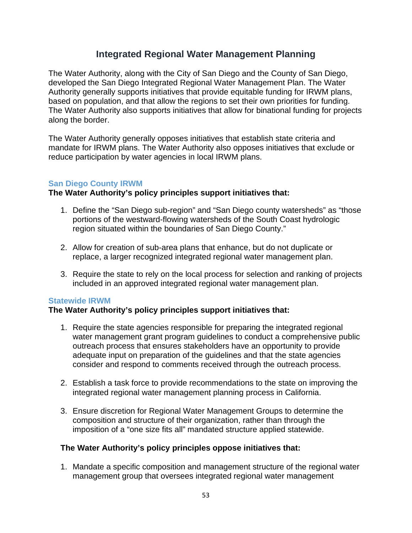## **Integrated Regional Water Management Planning**

The Water Authority, along with the City of San Diego and the County of San Diego, developed the San Diego Integrated Regional Water Management Plan. The Water Authority generally supports initiatives that provide equitable funding for IRWM plans, based on population, and that allow the regions to set their own priorities for funding. The Water Authority also supports initiatives that allow for binational funding for projects along the border.

The Water Authority generally opposes initiatives that establish state criteria and mandate for IRWM plans. The Water Authority also opposes initiatives that exclude or reduce participation by water agencies in local IRWM plans.

## **San Diego County IRWM**

## **The Water Authority's policy principles support initiatives that:**

- 1. Define the "San Diego sub-region" and "San Diego county watersheds" as "those portions of the westward-flowing watersheds of the South Coast hydrologic region situated within the boundaries of San Diego County."
- 2. Allow for creation of sub-area plans that enhance, but do not duplicate or replace, a larger recognized integrated regional water management plan.
- 3. Require the state to rely on the local process for selection and ranking of projects included in an approved integrated regional water management plan.

## **Statewide IRWM**

## **The Water Authority's policy principles support initiatives that:**

- 1. Require the state agencies responsible for preparing the integrated regional water management grant program guidelines to conduct a comprehensive public outreach process that ensures stakeholders have an opportunity to provide adequate input on preparation of the guidelines and that the state agencies consider and respond to comments received through the outreach process.
- 2. Establish a task force to provide recommendations to the state on improving the integrated regional water management planning process in California.
- 3. Ensure discretion for Regional Water Management Groups to determine the composition and structure of their organization, rather than through the imposition of a "one size fits all" mandated structure applied statewide.

## **The Water Authority's policy principles oppose initiatives that:**

1. Mandate a specific composition and management structure of the regional water management group that oversees integrated regional water management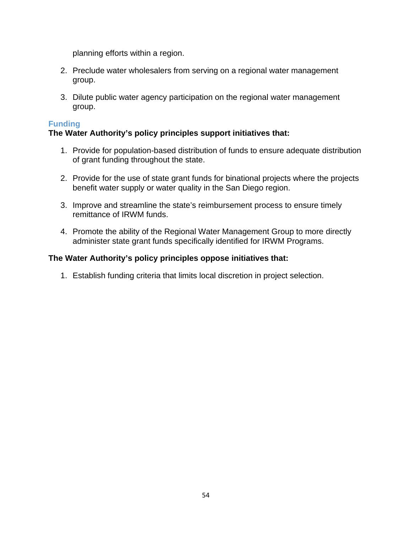planning efforts within a region.

- 2. Preclude water wholesalers from serving on a regional water management group.
- 3. Dilute public water agency participation on the regional water management group.

## **Funding**

## **The Water Authority's policy principles support initiatives that:**

- 1. Provide for population-based distribution of funds to ensure adequate distribution of grant funding throughout the state.
- 2. Provide for the use of state grant funds for binational projects where the projects benefit water supply or water quality in the San Diego region.
- 3. Improve and streamline the state's reimbursement process to ensure timely remittance of IRWM funds.
- 4. Promote the ability of the Regional Water Management Group to more directly administer state grant funds specifically identified for IRWM Programs.

## **The Water Authority's policy principles oppose initiatives that:**

1. Establish funding criteria that limits local discretion in project selection.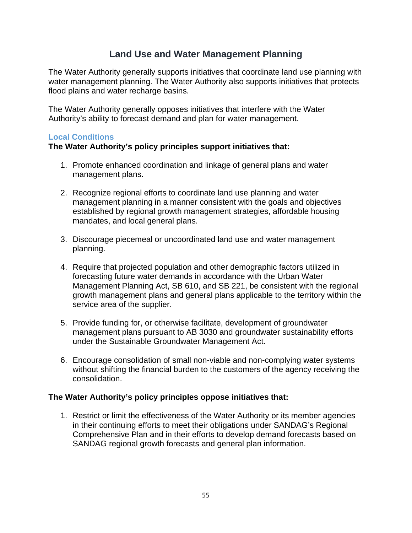## **Land Use and Water Management Planning**

The Water Authority generally supports initiatives that coordinate land use planning with water management planning. The Water Authority also supports initiatives that protects flood plains and water recharge basins.

The Water Authority generally opposes initiatives that interfere with the Water Authority's ability to forecast demand and plan for water management.

## **Local Conditions**

## **The Water Authority's policy principles support initiatives that:**

- 1. Promote enhanced coordination and linkage of general plans and water management plans.
- 2. Recognize regional efforts to coordinate land use planning and water management planning in a manner consistent with the goals and objectives established by regional growth management strategies, affordable housing mandates, and local general plans.
- 3. Discourage piecemeal or uncoordinated land use and water management planning.
- 4. Require that projected population and other demographic factors utilized in forecasting future water demands in accordance with the Urban Water Management Planning Act, SB 610, and SB 221, be consistent with the regional growth management plans and general plans applicable to the territory within the service area of the supplier.
- 5. Provide funding for, or otherwise facilitate, development of groundwater management plans pursuant to AB 3030 and groundwater sustainability efforts under the Sustainable Groundwater Management Act.
- 6. Encourage consolidation of small non-viable and non-complying water systems without shifting the financial burden to the customers of the agency receiving the consolidation.

## **The Water Authority's policy principles oppose initiatives that:**

1. Restrict or limit the effectiveness of the Water Authority or its member agencies in their continuing efforts to meet their obligations under SANDAG's Regional Comprehensive Plan and in their efforts to develop demand forecasts based on SANDAG regional growth forecasts and general plan information.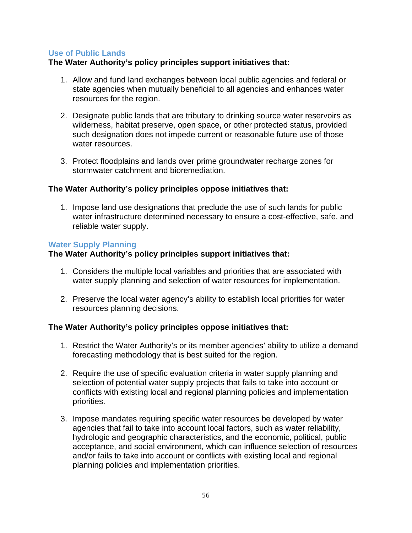## **Use of Public Lands**

## **The Water Authority's policy principles support initiatives that:**

- 1. Allow and fund land exchanges between local public agencies and federal or state agencies when mutually beneficial to all agencies and enhances water resources for the region.
- 2. Designate public lands that are tributary to drinking source water reservoirs as wilderness, habitat preserve, open space, or other protected status, provided such designation does not impede current or reasonable future use of those water resources.
- 3. Protect floodplains and lands over prime groundwater recharge zones for stormwater catchment and bioremediation.

## **The Water Authority's policy principles oppose initiatives that:**

1. Impose land use designations that preclude the use of such lands for public water infrastructure determined necessary to ensure a cost-effective, safe, and reliable water supply.

#### **Water Supply Planning**

## **The Water Authority's policy principles support initiatives that:**

- 1. Considers the multiple local variables and priorities that are associated with water supply planning and selection of water resources for implementation.
- 2. Preserve the local water agency's ability to establish local priorities for water resources planning decisions.

- 1. Restrict the Water Authority's or its member agencies' ability to utilize a demand forecasting methodology that is best suited for the region.
- 2. Require the use of specific evaluation criteria in water supply planning and selection of potential water supply projects that fails to take into account or conflicts with existing local and regional planning policies and implementation priorities.
- 3. Impose mandates requiring specific water resources be developed by water agencies that fail to take into account local factors, such as water reliability, hydrologic and geographic characteristics, and the economic, political, public acceptance, and social environment, which can influence selection of resources and/or fails to take into account or conflicts with existing local and regional planning policies and implementation priorities.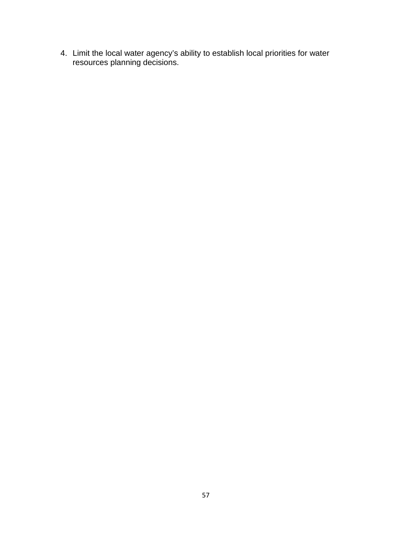4. Limit the local water agency's ability to establish local priorities for water resources planning decisions.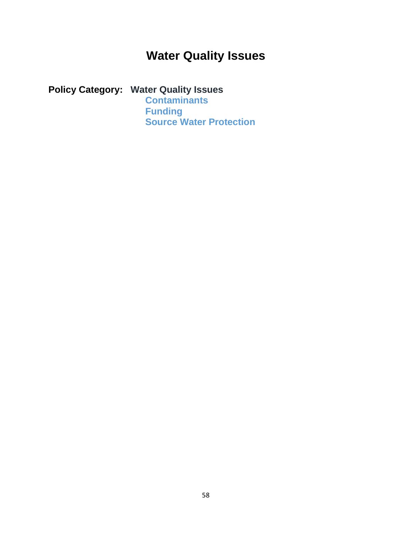## **Water Quality Issues**

## **Policy Category: Water Quality Issues**

**Contaminants Funding Source Water Protection**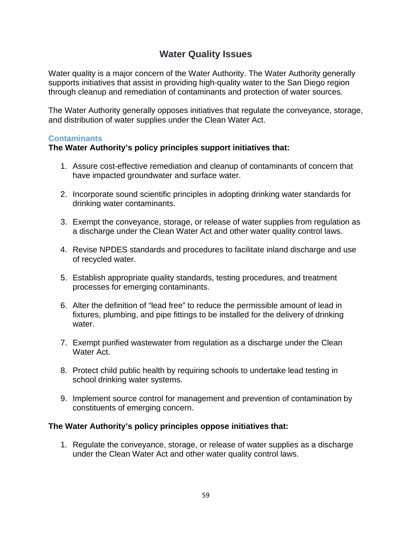## **Water Quality Issues**

Water quality is a major concern of the Water Authority. The Water Authority generally supports initiatives that assist in providing high-quality water to the San Diego region through cleanup and remediation of contaminants and protection of water sources.

The Water Authority generally opposes initiatives that regulate the conveyance, storage, and distribution of water supplies under the Clean Water Act.

#### **Contaminants**

## **The Water Authority's policy principles support initiatives that:**

- 1. Assure cost-effective remediation and cleanup of contaminants of concern that have impacted groundwater and surface water.
- 2. Incorporate sound scientific principles in adopting drinking water standards for drinking water contaminants.
- 3. Exempt the conveyance, storage, or release of water supplies from regulation as a discharge under the Clean Water Act and other water quality control laws.
- 4. Revise NPDES standards and procedures to facilitate inland discharge and use of recycled water.
- 5. Establish appropriate quality standards, testing procedures, and treatment processes for emerging contaminants.
- 6. Alter the definition of "lead free" to reduce the permissible amount of lead in fixtures, plumbing, and pipe fittings to be installed for the delivery of drinking water.
- 7. Exempt purified wastewater from regulation as a discharge under the Clean Water Act.
- 8. Protect child public health by requiring schools to undertake lead testing in school drinking water systems.
- 9. Implement source control for management and prevention of contamination by constituents of emerging concern.

## **The Water Authority's policy principles oppose initiatives that:**

1. Regulate the conveyance, storage, or release of water supplies as a discharge under the Clean Water Act and other water quality control laws.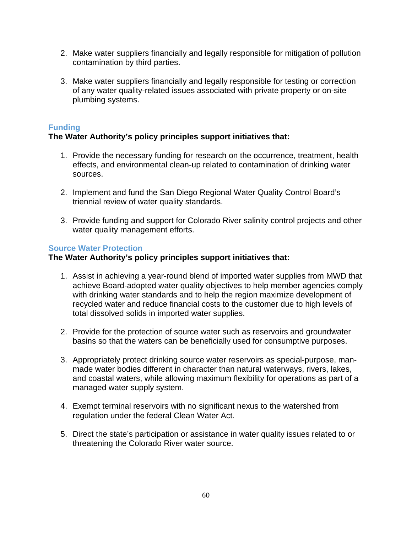- 2. Make water suppliers financially and legally responsible for mitigation of pollution contamination by third parties.
- 3. Make water suppliers financially and legally responsible for testing or correction of any water quality-related issues associated with private property or on-site plumbing systems.

## **Funding**

## **The Water Authority's policy principles support initiatives that:**

- 1. Provide the necessary funding for research on the occurrence, treatment, health effects, and environmental clean-up related to contamination of drinking water sources.
- 2. Implement and fund the San Diego Regional Water Quality Control Board's triennial review of water quality standards.
- 3. Provide funding and support for Colorado River salinity control projects and other water quality management efforts.

## **Source Water Protection**

- 1. Assist in achieving a year-round blend of imported water supplies from MWD that achieve Board-adopted water quality objectives to help member agencies comply with drinking water standards and to help the region maximize development of recycled water and reduce financial costs to the customer due to high levels of total dissolved solids in imported water supplies.
- 2. Provide for the protection of source water such as reservoirs and groundwater basins so that the waters can be beneficially used for consumptive purposes.
- 3. Appropriately protect drinking source water reservoirs as special-purpose, manmade water bodies different in character than natural waterways, rivers, lakes, and coastal waters, while allowing maximum flexibility for operations as part of a managed water supply system.
- 4. Exempt terminal reservoirs with no significant nexus to the watershed from regulation under the federal Clean Water Act.
- 5. Direct the state's participation or assistance in water quality issues related to or threatening the Colorado River water source.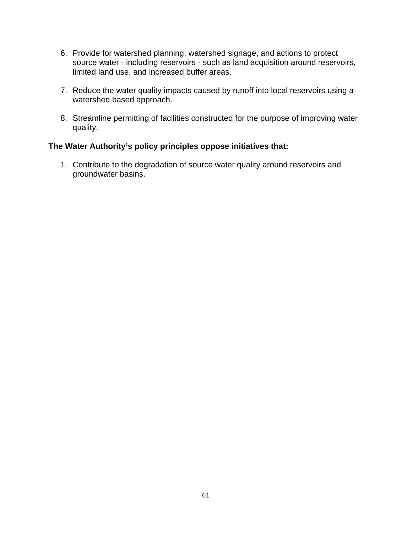- 6. Provide for watershed planning, watershed signage, and actions to protect source water - including reservoirs - such as land acquisition around reservoirs, limited land use, and increased buffer areas.
- 7. Reduce the water quality impacts caused by runoff into local reservoirs using a watershed based approach.
- 8. Streamline permitting of facilities constructed for the purpose of improving water quality.

## **The Water Authority's policy principles oppose initiatives that:**

1. Contribute to the degradation of source water quality around reservoirs and groundwater basins.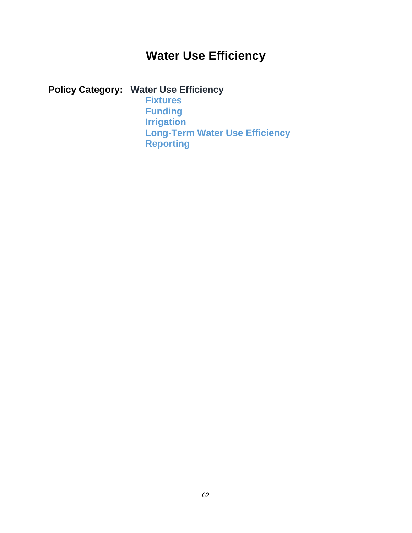## **Water Use Efficiency**

## **Policy Category: Water Use Efficiency**

**Fixtures Funding Irrigation Long-Term Water Use Efficiency Reporting**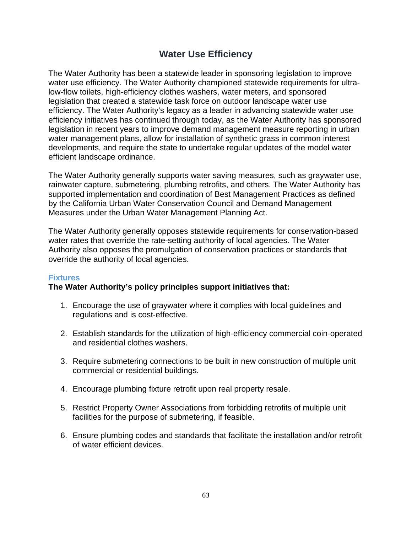## **Water Use Efficiency**

The Water Authority has been a statewide leader in sponsoring legislation to improve water use efficiency. The Water Authority championed statewide requirements for ultralow-flow toilets, high-efficiency clothes washers, water meters, and sponsored legislation that created a statewide task force on outdoor landscape water use efficiency. The Water Authority's legacy as a leader in advancing statewide water use efficiency initiatives has continued through today, as the Water Authority has sponsored legislation in recent years to improve demand management measure reporting in urban water management plans, allow for installation of synthetic grass in common interest developments, and require the state to undertake regular updates of the model water efficient landscape ordinance.

The Water Authority generally supports water saving measures, such as graywater use, rainwater capture, submetering, plumbing retrofits, and others. The Water Authority has supported implementation and coordination of Best Management Practices as defined by the California Urban Water Conservation Council and Demand Management Measures under the Urban Water Management Planning Act.

The Water Authority generally opposes statewide requirements for conservation-based water rates that override the rate-setting authority of local agencies. The Water Authority also opposes the promulgation of conservation practices or standards that override the authority of local agencies.

## **Fixtures**

- 1. Encourage the use of graywater where it complies with local guidelines and regulations and is cost-effective.
- 2. Establish standards for the utilization of high-efficiency commercial coin-operated and residential clothes washers.
- 3. Require submetering connections to be built in new construction of multiple unit commercial or residential buildings.
- 4. Encourage plumbing fixture retrofit upon real property resale.
- 5. Restrict Property Owner Associations from forbidding retrofits of multiple unit facilities for the purpose of submetering, if feasible.
- 6. Ensure plumbing codes and standards that facilitate the installation and/or retrofit of water efficient devices.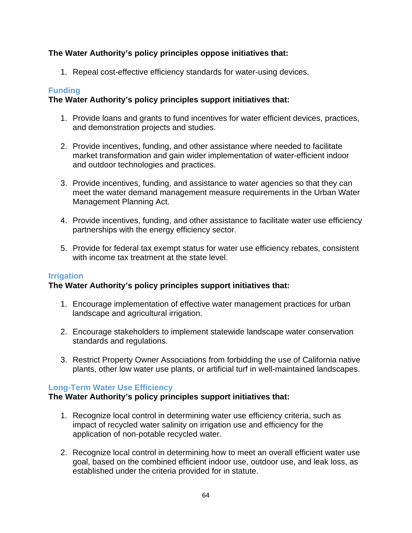## **The Water Authority's policy principles oppose initiatives that:**

1. Repeal cost-effective efficiency standards for water-using devices.

## **Funding**

## **The Water Authority's policy principles support initiatives that:**

- 1. Provide loans and grants to fund incentives for water efficient devices, practices, and demonstration projects and studies.
- 2. Provide incentives, funding, and other assistance where needed to facilitate market transformation and gain wider implementation of water-efficient indoor and outdoor technologies and practices.
- 3. Provide incentives, funding, and assistance to water agencies so that they can meet the water demand management measure requirements in the Urban Water Management Planning Act.
- 4. Provide incentives, funding, and other assistance to facilitate water use efficiency partnerships with the energy efficiency sector.
- 5. Provide for federal tax exempt status for water use efficiency rebates, consistent with income tax treatment at the state level.

## **Irrigation**

## **The Water Authority's policy principles support initiatives that:**

- 1. Encourage implementation of effective water management practices for urban landscape and agricultural irrigation.
- 2. Encourage stakeholders to implement statewide landscape water conservation standards and regulations.
- 3. Restrict Property Owner Associations from forbidding the use of California native plants, other low water use plants, or artificial turf in well-maintained landscapes.

## **Long-Term Water Use Efficiency**

- 1. Recognize local control in determining water use efficiency criteria, such as impact of recycled water salinity on irrigation use and efficiency for the application of non-potable recycled water.
- 2. Recognize local control in determining how to meet an overall efficient water use goal, based on the combined efficient indoor use, outdoor use, and leak loss, as established under the criteria provided for in statute.